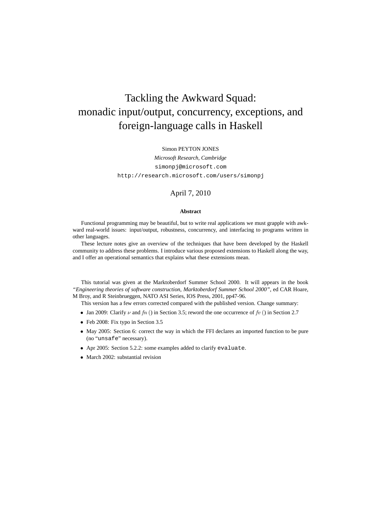# Tackling the Awkward Squad: monadic input/output, concurrency, exceptions, and foreign-language calls in Haskell

#### Simon PEYTON JONES

*Microsoft Research, Cambridge* simonpj@microsoft.com http://research.microsoft.com/users/simonpj

### April 7, 2010

#### **Abstract**

Functional programming may be beautiful, but to write real applications we must grapple with awkward real-world issues: input/output, robustness, concurrency, and interfacing to programs written in other languages.

These lecture notes give an overview of the techniques that have been developed by the Haskell community to address these problems. I introduce various proposed extensions to Haskell along the way, and I offer an operational semantics that explains what these extensions mean.

This tutorial was given at the Marktoberdorf Summer School 2000. It will appears in the book *"Engineering theories of software construction, Marktoberdorf Summer School 2000"*, ed CAR Hoare, M Broy, and R Steinbrueggen, NATO ASI Series, IOS Press, 2001, pp47-96.

This version has a few errors corrected compared with the published version. Change summary:

- Jan 2009: Clarify  $\nu$  and  $fn$  () in Section 3.5; reword the one occurrence of  $fv$  () in Section 2.7
- Feb 2008: Fix typo in Section 3.5
- May 2005: Section 6: correct the way in which the FFI declares an imported function to be pure (no "unsafe" necessary).
- Apr 2005: Section 5.2.2: some examples added to clarify evaluate.
- March 2002: substantial revision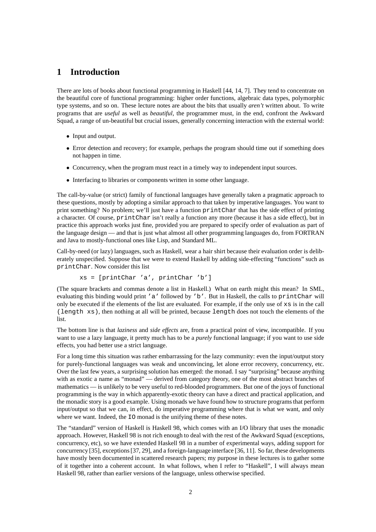# **1 Introduction**

There are lots of books about functional programming in Haskell [44, 14, 7]. They tend to concentrate on the beautiful core of functional programming: higher order functions, algebraic data types, polymorphic type systems, and so on. These lecture notes are about the bits that usually *aren't* written about. To write programs that are *useful* as well as *beautiful*, the programmer must, in the end, confront the Awkward Squad, a range of un-beautiful but crucial issues, generally concerning interaction with the external world:

- Input and output.
- Error detection and recovery; for example, perhaps the program should time out if something does not happen in time.
- Concurrency, when the program must react in a timely way to independent input sources.
- Interfacing to libraries or components written in some other language.

The call-by-value (or strict) family of functional languages have generally taken a pragmatic approach to these questions, mostly by adopting a similar approach to that taken by imperative languages. You want to print something? No problem; we'll just have a function printChar that has the side effect of printing a character. Of course, printChar isn't really a function any more (because it has a side effect), but in practice this approach works just fine, provided you are prepared to specify order of evaluation as part of the language design — and that is just what almost all other programming languages do, from FORTRAN and Java to mostly-functional ones like Lisp, and Standard ML.

Call-by-need (or lazy) languages, such as Haskell, wear a hair shirt because their evaluation order is deliberately unspecified. Suppose that we were to extend Haskell by adding side-effecting "functions" such as printChar. Now consider this list

$$
xs = [printChar 'a', printChar 'b']
$$

(The square brackets and commas denote a list in Haskell.) What on earth might this mean? In SML, evaluating this binding would print 'a' followed by 'b'. But in Haskell, the calls to printChar will only be executed if the elements of the list are evaluated. For example, if the only use of xs is in the call (length xs), then nothing at all will be printed, because length does not touch the elements of the list.

The bottom line is that *laziness* and *side effects* are, from a practical point of view, incompatible. If you want to use a lazy language, it pretty much has to be a *purely* functional language; if you want to use side effects, you had better use a strict language.

For a long time this situation was rather embarrassing for the lazy community: even the input/output story for purely-functional languages was weak and unconvincing, let alone error recovery, concurrency, etc. Over the last few years, a surprising solution has emerged: the monad. I say "surprising" because anything with as exotic a name as "monad" — derived from category theory, one of the most abstract branches of mathematics — is unlikely to be very useful to red-blooded programmers. But one of the joys of functional programming is the way in which apparently-exotic theory can have a direct and practical application, and the monadic story is a good example. Using monads we have found how to structure programs that perform input/output so that we can, in effect, do imperative programming where that is what we want, and only where we want. Indeed, the IO monad is the unifying theme of these notes.

The "standard" version of Haskell is Haskell 98, which comes with an I/O library that uses the monadic approach. However, Haskell 98 is not rich enough to deal with the rest of the Awkward Squad (exceptions, concurrency, etc), so we have extended Haskell 98 in a number of experimental ways, adding support for concurrency [35], exceptions [37, 29], and a foreign-languageinterface [36, 11]. So far, these developments have mostly been documented in scattered research papers; my purpose in these lectures is to gather some of it together into a coherent account. In what follows, when I refer to "Haskell", I will always mean Haskell 98, rather than earlier versions of the language, unless otherwise specified.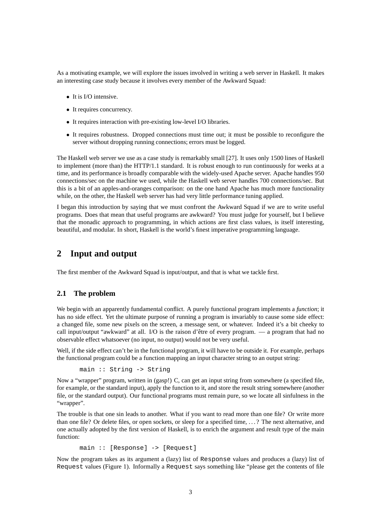As a motivating example, we will explore the issues involved in writing a web server in Haskell. It makes an interesting case study because it involves every member of the Awkward Squad:

- It is I/O intensive.
- It requires concurrency.
- It requires interaction with pre-existing low-level I/O libraries.
- It requires robustness. Dropped connections must time out; it must be possible to reconfigure the server without dropping running connections; errors must be logged.

The Haskell web server we use as a case study is remarkably small [27]. It uses only 1500 lines of Haskell to implement (more than) the HTTP/1.1 standard. It is robust enough to run continuously for weeks at a time, and its performance is broadly comparable with the widely-used Apache server. Apache handles 950 connections/sec on the machine we used, while the Haskell web server handles 700 connections/sec. But this is a bit of an apples-and-oranges comparison: on the one hand Apache has much more functionality while, on the other, the Haskell web server has had very little performance tuning applied.

I began this introduction by saying that we must confront the Awkward Squad if we are to write useful programs. Does that mean that useful programs are awkward? You must judge for yourself, but I believe that the monadic approach to programming, in which actions are first class values, is itself interesting, beautiful, and modular. In short, Haskell is the world's finest imperative programming language.

# **2 Input and output**

The first member of the Awkward Squad is input/output, and that is what we tackle first.

# **2.1 The problem**

We begin with an apparently fundamental conflict. A purely functional program implements a *function*; it has no side effect. Yet the ultimate purpose of running a program is invariably to cause some side effect: a changed file, some new pixels on the screen, a message sent, or whatever. Indeed it's a bit cheeky to call input/output "awkward" at all. I/O is the raison d'être of every program. — a program that had no observable effect whatsoever (no input, no output) would not be very useful.

Well, if the side effect can't be in the functional program, it will have to be outside it. For example, perhaps the functional program could be a function mapping an input character string to an output string:

```
main :: String -> String
```
Now a "wrapper" program, written in (gasp!) C, can get an input string from somewhere (a specified file, for example, or the standard input), apply the function to it, and store the result string somewhere (another file, or the standard output). Our functional programs must remain pure, so we locate all sinfulness in the "wrapper".

The trouble is that one sin leads to another. What if you want to read more than one file? Or write more than one file? Or delete files, or open sockets, or sleep for a specified time, . . . ? The next alternative, and one actually adopted by the first version of Haskell, is to enrich the argument and result type of the main function:

main :: [Response] -> [Request]

Now the program takes as its argument a (lazy) list of Response values and produces a (lazy) list of Request values (Figure 1). Informally a Request says something like "please get the contents of file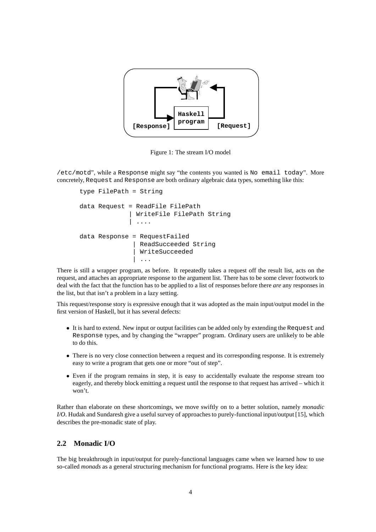

Figure 1: The stream I/O model

/etc/motd", while a Response might say "the contents you wanted is No email today". More concretely, Request and Response are both ordinary algebraic data types, something like this:

```
type FilePath = String
data Request = ReadFile FilePath
               WriteFile FilePath String
               | ....
data Response = RequestFailed
                ReadSucceeded String
                WriteSucceeded
                 | ...
```
There is still a wrapper program, as before. It repeatedly takes a request off the result list, acts on the request, and attaches an appropriate response to the argument list. There has to be some clever footwork to deal with the fact that the function has to be applied to a list of responses before there *are* any responses in the list, but that isn't a problem in a lazy setting.

This request/response story is expressive enough that it was adopted as the main input/output model in the first version of Haskell, but it has several defects:

- It is hard to extend. New input or output facilities can be added only by extending the Request and Response types, and by changing the "wrapper" program. Ordinary users are unlikely to be able to do this.
- There is no very close connection between a request and its corresponding response. It is extremely easy to write a program that gets one or more "out of step".
- Even if the program remains in step, it is easy to accidentally evaluate the response stream too eagerly, and thereby block emitting a request until the response to that request has arrived – which it won't.

Rather than elaborate on these shortcomings, we move swiftly on to a better solution, namely *monadic I/O*. Hudak and Sundaresh give a useful survey of approaches to purely-functional input/output [15], which describes the pre-monadic state of play.

# **2.2 Monadic I/O**

The big breakthrough in input/output for purely-functional languages came when we learned how to use so-called *monads* as a general structuring mechanism for functional programs. Here is the key idea: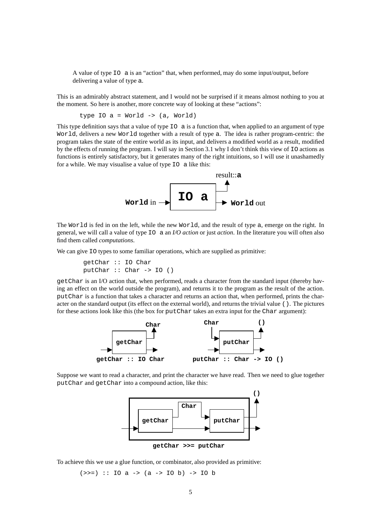A value of type IO a is an "action" that, when performed, may do some input/output, before delivering a value of type a.

This is an admirably abstract statement, and I would not be surprised if it means almost nothing to you at the moment. So here is another, more concrete way of looking at these "actions":

type IO a = World -> (a, World)

This type definition says that a value of type  $\overline{10}$  a is a function that, when applied to an argument of type World, delivers a new World together with a result of type a. The idea is rather program-centric: the program takes the state of the entire world as its input, and delivers a modified world as a result, modified by the effects of running the program. I will say in Section 3.1 why I don't think this view of IO actions as functions is entirely satisfactory, but it generates many of the right intuitions, so I will use it unashamedly for a while. We may visualise a value of type IO a like this:



The World is fed in on the left, while the new World, and the result of type a, emerge on the right. In general, we will call a value of type IO a an *I/O action* or just *action*. In the literature you will often also find them called *computations*.

We can give 10 types to some familiar operations, which are supplied as primitive:

```
getChar :: IO Char
putChar :: Char -> IO ()
```
getChar is an I/O action that, when performed, reads a character from the standard input (thereby having an effect on the world outside the program), and returns it to the program as the result of the action. putChar is a function that takes a character and returns an action that, when performed, prints the character on the standard output (its effect on the external world), and returns the trivial value (). The pictures for these actions look like this (the box for putChar takes an extra input for the Char argument):



Suppose we want to read a character, and print the character we have read. Then we need to glue together putChar and getChar into a compound action, like this:



To achieve this we use a glue function, or combinator, also provided as primitive:

 $(\gg)=)$  :: IO a ->  $(a \to 10 b)$  -> IO b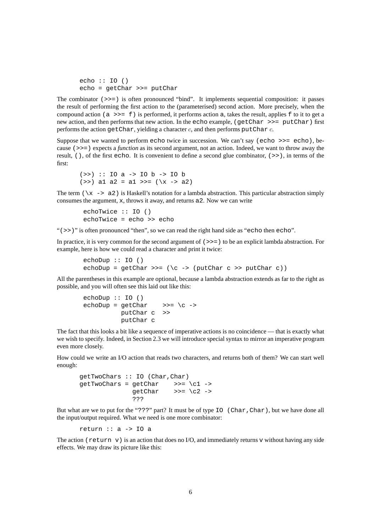```
echo :: IO ()
echo = getChar >>= putChar
```
The combinator (>>=) is often pronounced "bind". It implements sequential composition: it passes the result of performing the first action to the (parameterised) second action. More precisely, when the compound action ( $a \gg = f$ ) is performed, it performs action a, takes the result, applies f to it to get a new action, and then performs that new action. In the echo example, (getChar >>= putChar) first performs the action getChar, yielding a character  $c$ , and then performs putChar  $c$ .

Suppose that we wanted to perform echo twice in succession. We can't say (echo  $\gg$  = echo), because (>>=) expects a *function* as its second argument, not an action. Indeed, we want to throw away the result, (), of the first echo. It is convenient to define a second glue combinator, (>>), in terms of the first:

```
(>>) :: IO a -> IO b -> IO b
(>>) a1 a2 = a1 >>= (\xrightarrow x - 3)
```
The term  $(\xrightarrow x - a^2)$  is Haskell's notation for a lambda abstraction. This particular abstraction simply consumes the argument, x, throws it away, and returns a2. Now we can write

```
echoTwice :: IO ()
echoTwice = echo >> echo
```
" $($  >  $)$ " is often pronounced "then", so we can read the right hand side as "echo then echo".

In practice, it is very common for the second argument of  $(\ge)$  to be an explicit lambda abstraction. For example, here is how we could read a character and print it twice:

```
echoDup :: IO ()
echoDup = qetChar \gg = (\csc 2) (putChar c >> putChar c))
```
All the parentheses in this example are optional, because a lambda abstraction extends as far to the right as possible, and you will often see this laid out like this:

```
echoDup :: IO ()
echoDup = getChar >>= \c ->
         putChar c >>
         putChar c
```
The fact that this looks a bit like a sequence of imperative actions is no coincidence — that is exactly what we wish to specify. Indeed, in Section 2.3 we will introduce special syntax to mirror an imperative program even more closely.

How could we write an I/O action that reads two characters, and returns both of them? We can start well enough:

```
getTwoChars :: IO (Char,Char)
qetTwoChars = qetChar \implies \c1 ->qetChar \gg = \c2 \rightarrow???
```
But what are we to put for the "???" part? It must be of type IO (Char, Char), but we have done all the input/output required. What we need is one more combinator:

return :: a -> IO a

The action (return v) is an action that does no I/O, and immediately returns v without having any side effects. We may draw its picture like this: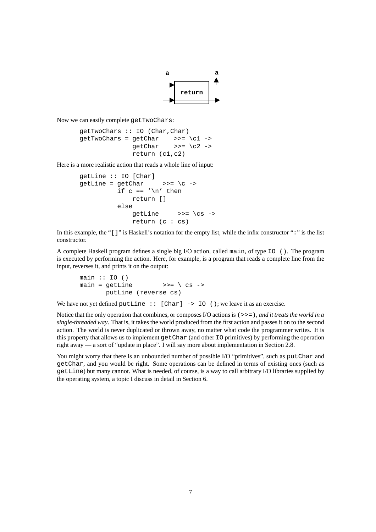

Now we can easily complete getTwoChars:

getTwoChars :: IO (Char,Char)  $getTwoChars = getChar \implies \c1 ->$ getChar >>=  $\{c2 -$ > return (c1,c2)

Here is a more realistic action that reads a whole line of input:

```
getLine :: IO [Char]
qetLine = qetChar >>= \c ->
          if c == ' \n\times breturn []
          else
              qetLine \rightarrow >>= \cs ->
              return (c : cs)
```
In this example, the "[]" is Haskell's notation for the empty list, while the infix constructor ":" is the list constructor.

A complete Haskell program defines a single big I/O action, called main, of type IO (). The program is executed by performing the action. Here, for example, is a program that reads a complete line from the input, reverses it, and prints it on the output:

```
main :: IO()main = getLine >>= \ cs ->
      putLine (reverse cs)
```
We have not yet defined putLine  $::$  [Char] -> IO (); we leave it as an exercise.

Notice that the only operation that combines, or composes I/O actions is (>>=), *and it treats the world in a single-threaded way*. That is, it takes the world produced from the first action and passes it on to the second action. The world is never duplicated or thrown away, no matter what code the programmer writes. It is this property that allows us to implement getChar (and other IO primitives) by performing the operation right away — a sort of "update in place". I will say more about implementation in Section 2.8.

You might worry that there is an unbounded number of possible I/O "primitives", such as putChar and getChar, and you would be right. Some operations can be defined in terms of existing ones (such as getLine) but many cannot. What is needed, of course, is a way to call arbitrary I/O libraries supplied by the operating system, a topic I discuss in detail in Section 6.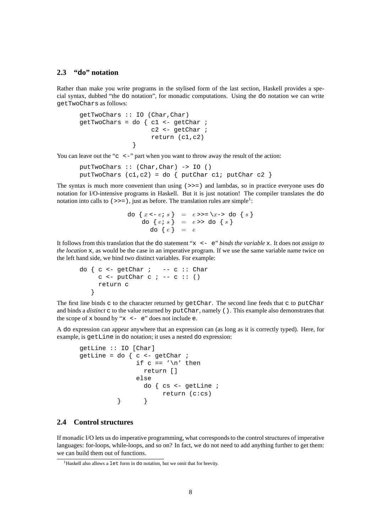# **2.3 "do" notation**

Rather than make you write programs in the stylised form of the last section, Haskell provides a special syntax, dubbed "the do notation", for monadic computations. Using the do notation we can write getTwoChars as follows:

```
getTwoChars :: IO (Char,Char)
qetTwoChars = do { c1 <- qetChar ;
                   c2 <- getChar ;
                   return (c1,c2)
              }
```
You can leave out the "c  $\leq$  -" part when you want to throw away the result of the action:

putTwoChars :: (Char,Char) -> IO () putTwoChars  $(cl, c2) = do { putChar cl}$ ; putChar  $c2$ 

The syntax is much more convenient than using  $(>>=)$  and lambdas, so in practice everyone uses do notation for I/O-intensive programs in Haskell. But it is just notation! The compiler translates the do notation into calls to  $(\gg)=$ ), just as before. The translation rules are simple<sup>1</sup>:

```
do \{x \leq -e \colon s\} = e \Rightarrow \Rightarrow \exists x \Rightarrow \exists a \in \{s\}do \{ e \colon s \} = e \rightarrow \texttt{do} \{ s \}do \{e\} = e
```
It follows from this translation that the do statement "x <- e" *binds the variable* x. It does not *assign to the location* x, as would be the case in an imperative program. If we use the same variable name twice on the left hand side, we bind two distinct variables. For example:

```
do \{ c \leftarrow \text{getChar } i \ \ \text{--- } c \ \colon \text{Char }c \le - putChar c \ne -c :: ()return c
     }
```
The first line binds c to the character returned by  $qetChar$ . The second line feeds that c to putChar and binds a *distinct* c to the value returned by putChar, namely (). This example also demonstrates that the scope of x bound by " $x \le -e$ " does not include e.

A do expression can appear anywhere that an expression can (as long as it is correctly typed). Here, for example, is getLine in do notation; it uses a nested do expression:

```
getLine :: IO [Char]
getLine = do \{ c \le -\} getChar ;
                if c == ' \n\t\t h' then
                  return []
                else
                  do { cs <- getLine ;
                        return (c:cs)
           } }
```
# **2.4 Control structures**

If monadic I/O lets us do imperative programming, what corresponds to the control structures of imperative languages: for-loops, while-loops, and so on? In fact, we do not need to add anything further to get them: we can build them out of functions.

<sup>&</sup>lt;sup>1</sup> Haskell also allows a  $1 \text{e}$ t form in do notation, but we omit that for brevity.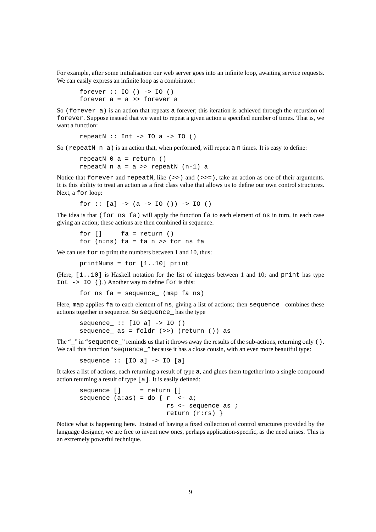For example, after some initialisation our web server goes into an infinite loop, awaiting service requests. We can easily express an infinite loop as a combinator:

```
forever :: IO () -> IO ()
forever a = a >> forever a
```
So (forever a) is an action that repeats a forever; this iteration is achieved through the recursion of forever. Suppose instead that we want to repeat a given action a specified number of times. That is, we want a function:

repeatN  $::$  Int -> IO a -> IO ()

So ( $\text{repeatN}$  n a) is an action that, when performed, will repeat a n times. It is easy to define:

```
repeakN 0 a = return ()
repeatN n a = a \gg repeatN (n-1) a
```
Notice that forever and repeatn, like  $(\gg)$  and  $(\gg)$ , take an action as one of their arguments. It is this ability to treat an action as a first class value that allows us to define our own control structures. Next, a for loop:

for  $::$  [a]  $\rightarrow$  (a  $\rightarrow$  IO ())  $\rightarrow$  IO ()

The idea is that (for ns fa) will apply the function fa to each element of ns in turn, in each case giving an action; these actions are then combined in sequence.

for [] fa = return () for  $(n:ns)$  fa = fa n >> for ns fa

We can use for to print the numbers between 1 and 10, thus:

printNums = for [1..10] print

(Here,  $[1, .10]$  is Haskell notation for the list of integers between 1 and 10; and print has type Int -> IO ().) Another way to define for is this:

for ns fa = sequence\_ (map fa ns)

Here, map applies fa to each element of ns, giving a list of actions; then sequence\_ combines these actions together in sequence. So sequence\_ has the type

 $sequence_ ::[I0 a] \rightarrow I0 ()$ sequence  $as = foldr$  (>>) (return ()) as

The " $\ddot{\hspace{1cm}}$ " in "sequence\_" reminds us that it throws away the results of the sub-actions, returning only (). We call this function "sequence" because it has a close cousin, with an even more beautiful type:

sequence :: [IO a] -> IO [a]

It takes a list of actions, each returning a result of type a, and glues them together into a single compound action returning a result of type [a]. It is easily defined:

```
sequence [] = return []
sequence (a:as) = do \{ r \le -ai \}rs <- sequence as ;
                       return (r:rs) }
```
Notice what is happening here. Instead of having a fixed collection of control structures provided by the language designer, we are free to invent new ones, perhaps application-specific, as the need arises. This is an extremely powerful technique.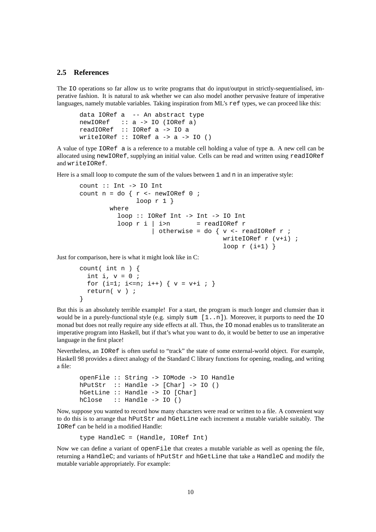### **2.5 References**

The IO operations so far allow us to write programs that do input/output in strictly-sequentialised, imperative fashion. It is natural to ask whether we can also model another pervasive feature of imperative languages, namely mutable variables. Taking inspiration from ML's ref types, we can proceed like this:

```
data IORef a -- An abstract type
newIORef :: a -> IO (IORef a)
readIORef :: IORef a -> IO a
writeIORef :: IORef a -> a -> IO ()
```
A value of type IORef a is a reference to a mutable cell holding a value of type a. A new cell can be allocated using newIORef, supplying an initial value. Cells can be read and written using readIORef and writeIORef.

Here is a small loop to compute the sum of the values between 1 and n in an imperative style:

```
count :: Int -> IO Int
count n = do \{ r \leftarrow newIORef 0 ;loop r 1 }
        where
          loop :: IORef Int -> Int -> IO Int
          loop r i \mid i > n = readIORef r| otherwise = do { v <- readIORef r ;
                                       writeIORef r (v+i) ;
                                       loop r(i+1) }
```
Just for comparison, here is what it might look like in C:

```
count( int n ) {
 int i, v = 0;
 for (i=1; i<=n; i++) \{ v = v+i ; \}return( v ) ;
}
```
But this is an absolutely terrible example! For a start, the program is much longer and clumsier than it would be in a purely-functional style (e.g. simply sum  $[1, n]$ ). Moreover, it purports to need the IO monad but does not really require any side effects at all. Thus, the IO monad enables us to transliterate an imperative program into Haskell, but if that's what you want to do, it would be better to use an imperative language in the first place!

Nevertheless, an IORef is often useful to "track" the state of some external-world object. For example, Haskell 98 provides a direct analogy of the Standard C library functions for opening, reading, and writing a file:

```
openFile :: String -> IOMode -> IO Handle
hPutStr :: Handle -> [Charl -> IO ()
hGetLine :: Handle -> IO [Char]
hClose :: Handle -> IO ()
```
Now, suppose you wanted to record how many characters were read or written to a file. A convenient way to do this is to arrange that hPutStr and hGetLine each increment a mutable variable suitably. The IORef can be held in a modified Handle:

```
type HandleC = (Handle, IORef Int)
```
Now we can define a variant of openFile that creates a mutable variable as well as opening the file, returning a HandleC; and variants of hPutStr and hGetLine that take a HandleC and modify the mutable variable appropriately. For example: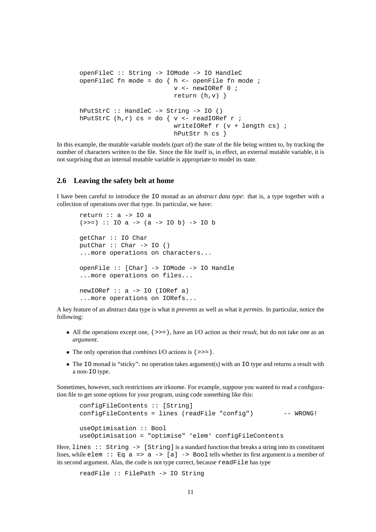```
openFileC :: String -> IOMode -> IO HandleC
openFileC fn mode = do { h <- openFile fn mode ;
                         v <- newIORef 0 ;
                         return (h,v) }
hPutStrC :: HandleC -> String -> IO ()
hPutStrC (h,r) cs = do { v <- readIORef r ;
                         writeIORef r (v + length cs) ;
                         hPutStr h cs }
```
In this example, the mutable variable models (part of) the state of the file being written to, by tracking the number of characters written to the file. Since the file itself is, in effect, an external mutable variable, it is not surprising that an internal mutable variable is appropriate to model its state.

### **2.6 Leaving the safety belt at home**

I have been careful to introduce the IO monad as an *abstract data type*: that is, a type together with a collection of operations over that type. In particular, we have:

```
return :: a -> IO a
(\gg)=) :: IO a -> (a \to 10 b) -> IO b
getChar :: IO Char
putChar :: Char -> IO ()...more operations on characters...
openFile :: [Char] -> IOMode -> IO Handle
...more operations on files...
newIORef :: a -> IO (IORef a)
...more operations on IORefs...
```
A key feature of an abstract data type is what it *prevents* as well as what it *permits*. In particular, notice the following:

- All the operations except one,  $(\gg)=$ ), have an I/O action as their *result*, but do not take one as an *argument*.
- The only operation that *combines* I/O actions is (>>=).
- The IO monad is "sticky": no operation takes argument(s) with an IO type and returns a result with a non-IO type.

Sometimes, however, such restrictions are irksome. For example, suppose you wanted to read a configuration file to get some options for your program, using code something like this:

```
configFileContents :: [String]
configFileContents = lines (readFile "config") -- WRONG!
useOptimisation :: Bool
useOptimisation = "optimise" 'elem' configFileContents
```
Here, lines  $::$  String  $->$  [String] is a standard function that breaks a string into its constituent lines, while elem :: Eq a => a -> [a] -> Bool tells whether its first argument is a member of its second argument. Alas, the code is not type correct, because readFile has type

readFile :: FilePath -> IO String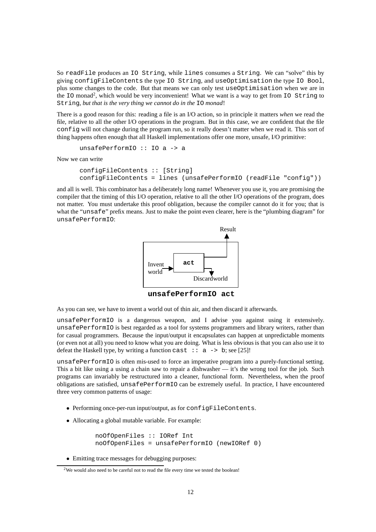So readFile produces an IO String, while lines consumes a String. We can "solve" this by giving configFileContents the type IO String, and useOptimisation the type IO Bool, plus some changes to the code. But that means we can only test useOptimisation when we are in the IO monad<sup>2</sup>, which would be very inconvenient! What we want is a way to get from IO String to String, *but that is the very thing we cannot do in the* IO *monad*!

There is a good reason for this: reading a file is an I/O action, so in principle it matters *when* we read the file, relative to all the other I/O operations in the program. But in this case, we are confident that the file config will not change during the program run, so it really doesn't matter when we read it. This sort of thing happens often enough that all Haskell implementations offer one more, unsafe, I/O primitive:

unsafePerformIO :: IO a -> a

Now we can write

```
configFileContents :: [String]
configFileContents = lines (unsafePerformIO (readFile "config"))
```
and all is well. This combinator has a deliberately long name! Whenever you use it, you are promising the compiler that the timing of this I/O operation, relative to all the other I/O operations of the program, does not matter. You must undertake this proof obligation, because the compiler cannot do it for you; that is what the "unsafe" prefix means. Just to make the point even clearer, here is the "plumbing diagram" for unsafePerformIO:



**unsafePerformIO act**

As you can see, we have to invent a world out of thin air, and then discard it afterwards.

unsafePerformIO is a dangerous weapon, and I advise you against using it extensively. unsafePerformIO is best regarded as a tool for systems programmers and library writers, rather than for casual programmers. Because the input/output it encapsulates can happen at unpredictable moments (or even not at all) you need to know what you are doing. What is less obvious is that you can also use it to defeat the Haskell type, by writing a function cast  $\therefore$  a  $\rightarrow$  b; see [25]!

unsafePerformIO is often mis-used to force an imperative program into a purely-functional setting. This a bit like using a using a chain saw to repair a dishwasher — it's the wrong tool for the job. Such programs can invariably be restructured into a cleaner, functional form. Nevertheless, when the proof obligations are satisfied, unsafePerformIO can be extremely useful. In practice, I have encountered three very common patterns of usage:

- Performing once-per-run input/output, as for configFileContents.
- Allocating a global mutable variable. For example:

noOfOpenFiles :: IORef Int noOfOpenFiles = unsafePerformIO (newIORef 0)

• Emitting trace messages for debugging purposes:

<sup>&</sup>lt;sup>2</sup>We would also need to be careful not to read the file every time we tested the boolean!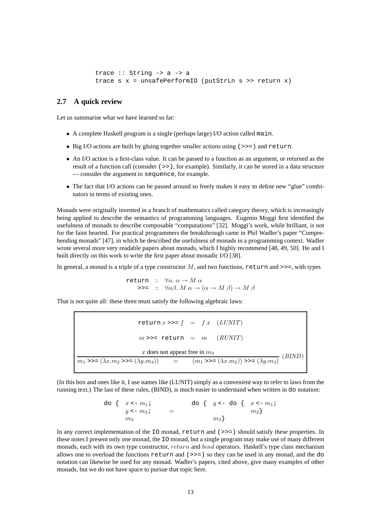```
trace :: String -> a -> a
trace s x = unsafePerformIO (putStrLn s >> return x)
```
# **2.7 A quick review**

Let us summarise what we have learned so far:

- A complete Haskell program is a single (perhaps large) I/O action called main.
- Big I/O actions are built by gluing together smaller actions using (>>=) and return.
- An I/O action is a first-class value. It can be passed to a function as an argument, or returned as the result of a function call (consider (>>), for example). Similarly, it can be stored in a data structure — consider the argument to sequence, for example.
- The fact that I/O actions can be passed around so freely makes it easy to define new "glue" combinators in terms of existing ones.

Monads were originally invented in a branch of mathematics called category theory, which is increasingly being applied to describe the semantics of programming languages. Eugenio Moggi first identified the usefulness of monads to describe composable "computations" [32]. Moggi's work, while brilliant, is not for the faint hearted. For practical programmers the breakthrough came in Phil Wadler's paper "Comprehending monads" [47], in which he described the usefulness of monads in a programming context. Wadler wrote several more very readable papers about monads, which I highly recommend [48, 49, 50]. He and I built directly on this work to write the first paper about monadic I/O [38].

In general, a *monad* is a triple of a type constructor  $M$ , and two functions, return and >>=, with types

return ::  $\forall \alpha \ldotp \alpha \rightarrow M \ \alpha$  $\Rightarrow \Rightarrow = :: \ \ \forall \alpha \beta \ldotp M \alpha \rightarrow (\alpha \rightarrow M \beta) \rightarrow M \beta$ 

That is not quite all: these three must satisfy the following algebraic laws:

return  $x \rightarrow f = f x$  (*LUNIT*)  $m \gg =$  return =  $m$  (RUNIT) x does not appear free in  $m_3$  $m_1 >> = (\lambda x.m_2 >> = (\lambda y.m_3))$  =  $(m_1 >> = (\lambda x.m_2)) >> = (\lambda y.m_3)$  (BIND)

(In this box and ones like it, I use names like (LUNIT) simply as a convenient way to refer to laws from the running text.) The last of these rules, (BIND), is much easier to understand when written in do notation:

do { 
$$
x \le -m_1 i
$$
  
\n $y \le -m_2 i$   
\n $m_3$  do {  $y \le -$  do {  $x \le -m_1 i$   
\n $m_2$ }

In any correct implementation of the IO monad, return and ( $\gg$ ) should satisfy these properties. In these notes I present only one monad, the IO monad, but a single program may make use of many different monads, each with its own type constructor, return and bind operators. Haskell's type class mechanism allows one to overload the functions  $return$  and  $(\gg)=)$  so they can be used in any monad, and the do notation can likewise be used for any monad. Wadler's papers, cited above, give many examples of other monads, but we do not have space to pursue that topic here.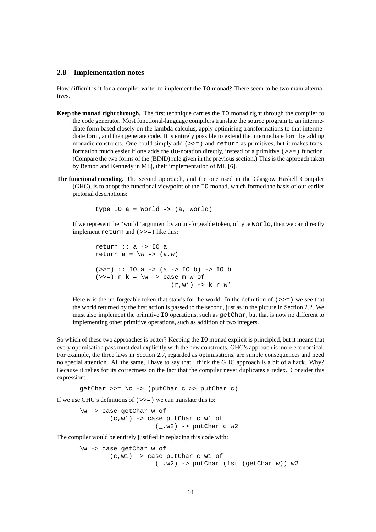# **2.8 Implementation notes**

How difficult is it for a compiler-writer to implement the IO monad? There seem to be two main alternatives.

- **Keep the monad right through.** The first technique carries the IO monad right through the compiler to the code generator. Most functional-language compilers translate the source program to an intermediate form based closely on the lambda calculus, apply optimising transformations to that intermediate form, and then generate code. It is entirely possible to extend the intermediate form by adding monadic constructs. One could simply add  $(>>)$  and return as primitives, but it makes transformation much easier if one adds the do-notation directly, instead of a primitive (>>=) function. (Compare the two forms of the (BIND) rule given in the previous section.) This is the approach taken by Benton and Kennedy in MLj, their implementation of ML [6].
- **The functional encoding.** The second approach, and the one used in the Glasgow Haskell Compiler (GHC), is to adopt the functional viewpoint of the IO monad, which formed the basis of our earlier pictorial descriptions:

type IO a = World -> (a, World)

If we represent the "world" argument by an un-forgeable token, of type World, then we can directly implement return and (>>=) like this:

return  $\therefore$  a -> IO a return  $a = \wedge w \rightarrow (a,w)$  $(\gg)=)$  :: IO a -> (a -> IO b) -> IO b ( $>>=$ ) m k =  $\wedge w$  -> case m w of  $(r,w') \rightarrow k r w'$ 

Here w is the un-forgeable token that stands for the world. In the definition of  $(\gg)=$  we see that the world returned by the first action is passed to the second, just as in the picture in Section 2.2. We must also implement the primitive IO operations, such as getChar, but that is now no different to implementing other primitive operations, such as addition of two integers.

So which of these two approaches is better? Keeping the IO monad explicit is principled, but it means that every optimisation pass must deal explicitly with the new constructs. GHC's approach is more economical. For example, the three laws in Section 2.7, regarded as optimisations, are simple consequences and need no special attention. All the same, I have to say that I think the GHC approach is a bit of a hack. Why? Because it relies for its correctness on the fact that the compiler never duplicates a redex. Consider this expression:

 $getChar \gg = \c -\$  (putChar c >> putChar c)

If we use GHC's definitions of  $( \gt \gt = )$  we can translate this to:

\w -> case getChar w of (c,w1) -> case putChar c w1 of  $(\_,w2)$  -> putChar c w2

The compiler would be entirely justified in replacing this code with:

\w -> case getChar w of (c,w1) -> case putChar c w1 of (\_,w2) -> putChar (fst (getChar w)) w2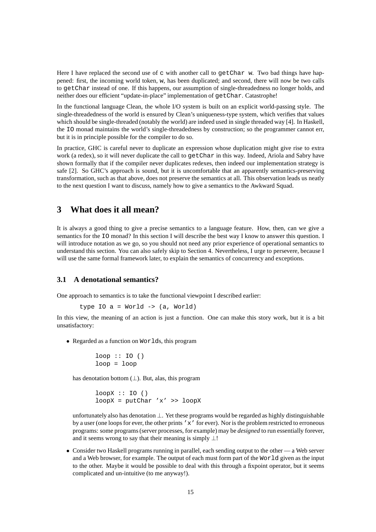Here I have replaced the second use of c with another call to  $qetChar$  w. Two bad things have happened: first, the incoming world token, w, has been duplicated; and second, there will now be two calls to getChar instead of one. If this happens, our assumption of single-threadedness no longer holds, and neither does our efficient "update-in-place" implementation of getChar. Catastrophe!

In the functional language Clean, the whole I/O system is built on an explicit world-passing style. The single-threadedness of the world is ensured by Clean's uniqueness-type system, which verifies that values which should be single-threaded (notably the world) are indeed used in single threaded way [4]. In Haskell, the IO monad maintains the world's single-threadedness by construction; so the programmer cannot err, but it is in principle possible for the compiler to do so.

In practice, GHC is careful never to duplicate an expression whose duplication might give rise to extra work (a redex), so it will never duplicate the call to getChar in this way. Indeed, Ariola and Sabry have shown formally that if the compiler never duplicates redexes, then indeed our implementation strategy is safe [2]. So GHC's approach is sound, but it is uncomfortable that an apparently semantics-preserving transformation, such as that above, does not preserve the semantics at all. This observation leads us neatly to the next question I want to discuss, namely how to give a semantics to the Awkward Squad.

# **3 What does it all mean?**

It is always a good thing to give a precise semantics to a language feature. How, then, can we give a semantics for the IO monad? In this section I will describe the best way I know to answer this question. I will introduce notation as we go, so you should not need any prior experience of operational semantics to understand this section. You can also safely skip to Section 4. Nevertheless, I urge to persevere, because I will use the same formal framework later, to explain the semantics of concurrency and exceptions.

# **3.1 A denotational semantics?**

One approach to semantics is to take the functional viewpoint I described earlier:

```
type IO a = World \rightarrow (a, World)
```
In this view, the meaning of an action is just a function. One can make this story work, but it is a bit unsatisfactory:

• Regarded as a function on Worlds, this program

```
loop :: IO ()
loop = loop
```
has denotation bottom  $(\perp)$ . But, alas, this program

```
loopX :: IO ()
loopX = putChar YX' >> loopX
```
unfortunately also has denotation ⊥. Yet these programs would be regarded as highly distinguishable by a user (one loops for ever, the other prints 'x' for ever). Nor is the problem restricted to erroneous programs: some programs (server processes, for example) may be *designed* to run essentially forever, and it seems wrong to say that their meaning is simply  $\perp$ !

• Consider two Haskell programs running in parallel, each sending output to the other — a Web server and a Web browser, for example. The output of each must form part of the World given as the input to the other. Maybe it would be possible to deal with this through a fixpoint operator, but it seems complicated and un-intuitive (to me anyway!).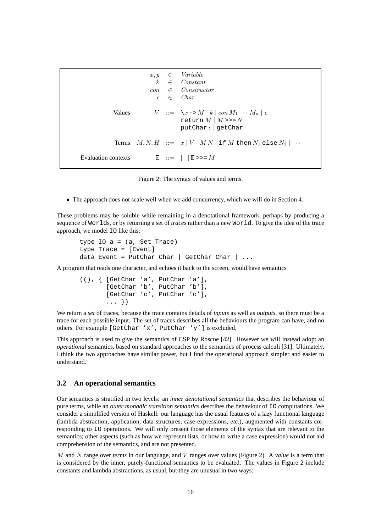```
x, y \in Variablek \in Constantcon ∈ Constructor
                        c \in CharValues V := \sqrt{x} \rightarrow M | k | con M_1 \cdots M_n | creturn M | M \gg NputChar c | getCharTerms M, N, H ::= x | V | M N if M then N_1 else N_2 | \cdotsEvaluation contexts E ::= [\cdot] | E \gg = M
```
Figure 2: The syntax of values and terms.

• The approach does not scale well when we add concurrency, which we will do in Section 4.

These problems may be soluble while remaining in a denotational framework, perhaps by producing a sequence of Worlds, or by returning a set of *traces* rather than a new World. To give the idea of the trace approach, we model IO like this:

```
type IO a = (a, Set Trace)type Trace = [Event]
data Event = PutChar Char | GetChar Char | \ldots
```
A program that reads one character, and echoes it back to the screen, would have semantics

```
((), { [GetChar 'a', PutChar 'a'],
       [GetChar 'b', PutChar 'b'],
       [GetChar 'c', PutChar 'c'],
       ... })
```
We return a *set* of traces, because the trace contains details of *inputs* as well as *outputs*, so there must be a trace for each possible input. The set of traces describes all the behaviours the program can have, and no others. For example [GetChar 'x', PutChar 'y'] is excluded.

This approach is used to give the semantics of CSP by Roscoe [42]. However we will instead adopt an *operational* semantics, based on standard approaches to the semantics of process calculi [31]. Ultimately, I think the two approaches have similar power, but I find the operational approach simpler and easier to understand.

# **3.2 An operational semantics**

Our semantics is stratified in two levels: an *inner denotational semantics* that describes the behaviour of pure terms, while an *outer monadic transition semantics* describes the behaviour of IO computations. We consider a simplified version of Haskell: our language has the usual features of a lazy functional language (lambda abstraction, application, data structures, case expressions, *etc.*), augmented with constants corresponding to IO operations. We will only present those elements of the syntax that are relevant to the semantics; other aspects (such as how we represent lists, or how to write a case expression) would not aid comprehension of the semantics, and are not presented.

M and N range over *terms* in our language, and V ranges over values (Figure 2). A *value* is a term that is considered by the inner, purely-functional semantics to be evaluated. The values in Figure 2 include constants and lambda abstractions, as usual, but they are unusual in two ways: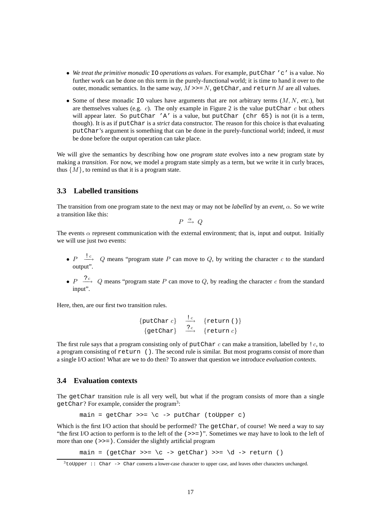- *We treat the primitive monadic* IO *operations as values*. For example, putChar 'c' is a value. No further work can be done on this term in the purely-functional world; it is time to hand it over to the outer, monadic semantics. In the same way,  $M \gg N$ , getChar, and return M are all values.
- Some of these monadic  $\text{IO}$  values have arguments that are not arbitrary terms  $(M, N, etc.),$  but are themselves values (e.g. c). The only example in Figure 2 is the value put Char c but others will appear later. So putChar 'A' is a value, but putChar (chr 65) is not (it is a term, though). It is as if putChar is a *strict* data constructor. The reason for this choice is that evaluating putChar's argument is something that can be done in the purely-functional world; indeed, it *must* be done before the output operation can take place.

We will give the semantics by describing how one *program state* evolves into a new program state by making a *transition*. For now, we model a program state simply as a term, but we write it in curly braces, thus  $\{M\}$ , to remind us that it is a program state.

# **3.3 Labelled transitions**

The transition from one program state to the next may or may not be *labelled* by an *event*, α. So we write a transition like this:

$$
P \ \xrightarrow{\alpha} \ Q
$$

The events  $\alpha$  represent communication with the external environment; that is, input and output. Initially we will use just two events:

- $P \xrightarrow{?c} Q$  means "program state P can move to Q, by writing the character c to the standard output".
- $P \xrightarrow{?c} Q$  means "program state P can move to Q, by reading the character c from the standard input".

Here, then, are our first two transition rules.

$$
\begin{array}{ccc} \{ \text{putChar } c \} & \xrightarrow{lc} & \{ \text{return } () \} \\ \{ \text{getChar } \} & \xrightarrow{?c} & \{ \text{return } c \} \end{array}
$$

The first rule says that a program consisting only of putChar c can make a transition, labelled by  $\ell c$ , to a program consisting of return (). The second rule is similar. But most programs consist of more than a single I/O action! What are we to do then? To answer that question we introduce *evaluation contexts*.

#### **3.4 Evaluation contexts**

The getChar transition rule is all very well, but what if the program consists of more than a single getChar? For example, consider the program<sup>3</sup>:

 $main = \text{getChar} >> = \langle c \rightarrow \text{putChar}$  (toUpper c)

Which is the first I/O action that should be performed? The getChar, of course! We need a way to say "the first I/O action to perform is to the left of the  $(>>=)$ ". Sometimes we may have to look to the left of more than one (>>=). Consider the slightly artificial program

main =  $\text{getChar} \gg = \c -\text{getChar} \gg = \d -\text{return}$ 

<sup>&</sup>lt;sup>3</sup>toUpper :: Char -> Char converts a lower-case character to upper case, and leaves other characters unchanged.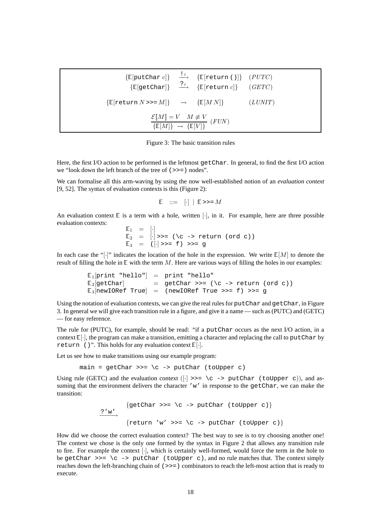|                                                                                                                                                                    |  | $\{\mathbb{E}[\text{putChar } c]\}$ $\overset{!}{\longrightarrow}$ $\{\mathbb{E}[\text{return } ()]\}$ $(PUTC)$<br>$\{\mathbb{E}[\text{getChar}]\} \xrightarrow{?c} \{\mathbb{E}[\text{return } c]\}$ (GETC) |  |  |
|--------------------------------------------------------------------------------------------------------------------------------------------------------------------|--|--------------------------------------------------------------------------------------------------------------------------------------------------------------------------------------------------------------|--|--|
| $\{\mathbb{E}[\text{return }N \gg M]\} \rightarrow \{\mathbb{E}[MN]\}$ ( <i>LUNIT</i> )                                                                            |  |                                                                                                                                                                                                              |  |  |
| $\frac{\mathcal{E}\llbracket M \rrbracket = V \quad M \neq V}{\{\mathbb{E}\llbracket M \rrbracket \} \rightarrow \{\mathbb{E}\llbracket V \rrbracket \}} \; (FUN)$ |  |                                                                                                                                                                                                              |  |  |

Figure 3: The basic transition rules

Here, the first I/O action to be performed is the leftmost getChar. In general, to find the first I/O action we "look down the left branch of the tree of (>>=) nodes".

We can formalise all this arm-waving by using the now well-established notion of an *evaluation context* [9, 52]. The syntax of evaluation contexts is this (Figure 2):

$$
\mathbb{E} \quad ::= \quad [\cdot] \quad | \quad \mathbb{E} \text{ } \text{ } >> = M
$$

An evaluation context  $E$  is a term with a hole, written [ $\cdot$ ], in it. For example, here are three possible evaluation contexts:

```
\mathbb{E}_1 = [\cdot]\mathbb{E}_2 = [\cdot] \rightarrow = (\setminus c \rightarrow \text{return } (ord \ c))\mathbb{E}_3 = (\cdot] \rightarrow = f) \rightarrow = g
```
In each case the "[·]" indicates the location of the hole in the expression. We write  $\mathbb{E}[M]$  to denote the result of filling the hole in  $E$  with the term M. Here are various ways of filling the holes in our examples:

```
\mathbb{E}_{1}[\text{print "hello"}] = \text{print "hello"}\mathbb{E}_{2}[\text{getChar}] = getChar >>= (\c -> return (ord c))
\mathbb{E}_3[newIORef True] = (newIORef True >>= f) >>= q
```
Using the notation of evaluation contexts, we can give the real rules for putChar and getChar, in Figure 3. In general we will give each transition rule in a figure, and give it a name — such as (PUTC) and (GETC) — for easy reference.

The rule for (PUTC), for example, should be read: "if a putChar occurs as the next I/O action, in a context  $\mathbb{E}[\cdot]$ , the program can make a transition, emitting a character and replacing the call to putChar by return ()". This holds for any evaluation context  $\mathbb{E}[\cdot]$ .

Let us see how to make transitions using our example program:

main =  $qetChar \gg = \ c \rightarrow putChar (toUpper c)$ 

Using rule (GETC) and the evaluation context ( $\lceil \cdot \rceil \rightarrow \rceil$   $\setminus$  c -> putChar (toUpper c)), and assuming that the environment delivers the character 'w' in response to the  $getChar$ , we can make the transition:

```
\{getChar \ \texttt{>>=} \ (c \ \texttt{-&} putChar \ (toUpper \ c) \}?'w'{return 'w' >>= \c -> putChar (toUpper c)}
```
How did we choose the correct evaluation context? The best way to see is to try choosing another one! The context we chose is the only one formed by the syntax in Figure 2 that allows any transition rule to fire. For example the context [·], which is certainly well-formed, would force the term in the hole to be getChar  $\gt$  = \c -> putChar (toUpper c), and no rule matches that. The context simply reaches down the left-branching chain of (>>=) combinators to reach the left-most action that is ready to execute.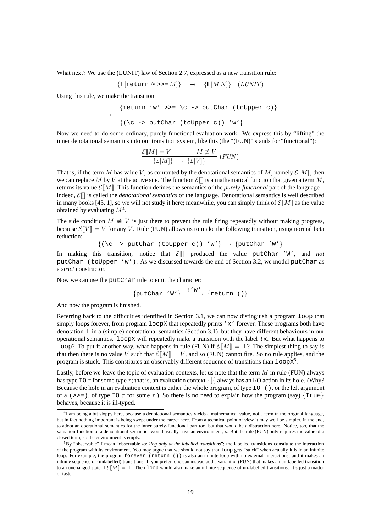What next? We use the (LUNIT) law of Section 2.7, expressed as a new transition rule:

$$
{\mathbb E}[\text{return }N \text{>>}=M]{\mathbb P} \longrightarrow {\mathbb E}[M\,N]{\mathbb P} (L\,UNIT)
$$

Using this rule, we make the transition

$$
\{\text{return 'w' >>= \c -> putChar (toUpper c)}\}
$$
\n
$$
\{\langle \c -> putChar (toUpper c) \rangle \, 'w'\}
$$

Now we need to do some ordinary, purely-functional evaluation work. We express this by "lifting" the inner denotational semantics into our transition system, like this (the "(FUN)" stands for "functional"):

$$
\frac{\mathcal{E}\llbracket M\rrbracket = V \qquad \qquad M \not\equiv V}{\{\mathbb{E}[M]\} \rightarrow \{\mathbb{E}[V]\}} \ (FUN)
$$

That is, if the term M has value V, as computed by the denotational semantics of M, namely  $\mathcal{E}[\![M]\!]$ , then we can replace M by V at the active site. The function  $\mathcal{E}[\|]$  is a mathematical function that given a term M, returns its value  $\mathcal{E}[M]$ . This function defines the semantics of the *purely-functional* part of the language – indeed,  $\mathcal{E}[\]$  is called the *denotational semantics* of the language. Denotational semantics is well described in many books [43, 1], so we will not study it here; meanwhile, you can simply think of  $\mathcal{E}[M]$  as the value obtained by evaluating  $M^4$ .

The side condition  $M \neq V$  is just there to prevent the rule firing repeatedly without making progress, because  $\mathcal{E}[V] = V$  for any V. Rule (FUN) allows us to make the following transition, using normal beta reduction:

$$
\{(\setminus c \text{ -> putChar } (t\text{oUpper } c)) \text{ 'w'}\} \rightarrow \{putChar \text{ 'W'}\}
$$

In making this transition, notice that  $\mathcal{E}[\parallel]$  produced the value putChar 'W', and *not* putChar (toUpper 'w'). As we discussed towards the end of Section 3.2, we model putChar as a *strict* constructor.

Now we can use the putChar rule to emit the character:

$$
\{\texttt{putChar } 'W' \} \xrightarrow{!'W'} \{\texttt{return } ()\}
$$

And now the program is finished.

Referring back to the difficulties identified in Section 3.1, we can now distinguish a program loop that simply loops forever, from program  $\log X$  that repeatedly prints ' $x'$ ' forever. These programs both have denotation ⊥ in a (simple) denotational semantics (Section 3.1), but they have different behaviours in our operational semantics. loopX will repeatedly make a transition with the label !x. But what happens to loop? To put it another way, what happens in rule (FUN) if  $\mathcal{E}[M] = \perp$ ? The simplest thing to say is that then there is no value V such that  $\mathcal{E}[M] = V$ , and so (FUN) cannot fire. So no rule applies, and the program is stuck. This constitutes an observably different sequence of transitions than  $1$ oop $x^5$ .

Lastly, before we leave the topic of evaluation contexts, let us note that the term  $M$  in rule (FUN) always has type IO  $\tau$  for some type  $\tau$ ; that is, an evaluation context  $\mathbb{E}[\cdot]$  always has an I/O action in its hole. (Why? Because the hole in an evaluation context is either the whole program, of type IO (), or the left argument of a (>>=), of type IO  $\tau$  for some  $\tau$ .) So there is no need to explain how the program (say) {True} behaves, because it is ill-typed.

<sup>&</sup>lt;sup>4</sup>I am being a bit sloppy here, because a denotational semantics yields a mathematical value, not a term in the original language, but in fact nothing important is being swept under the carpet here. From a technical point of view it may well be simpler, in the end, to adopt an operational semantics for the inner purely-functional part too, but that would be a distraction here. Notice, too, that the valuation function of a denotational semantics would usually have an environment,  $\rho$ . But the rule (FUN) only requires the value of a closed term, so the environment is empty.

<sup>5</sup>By "observable" I mean "observable *looking only at the labelled transitions*"; the labelled transitions constitute the interaction of the program with its environment. You may argue that we should not say that loop gets "stuck" when actually it is in an infinite loop. For example, the program forever (return ()) is also an infinite loop with no external interactions, and it makes an infinite sequence of (unlabelled) transitions. If you prefer, one can instead add a variant of (FUN) that makes an un-labelled transition to an unchanged state if  $\mathcal{E}[M] = \bot$ . Then loop would also make an infinite sequence of un-labelled transitions. It's just a matter of taste.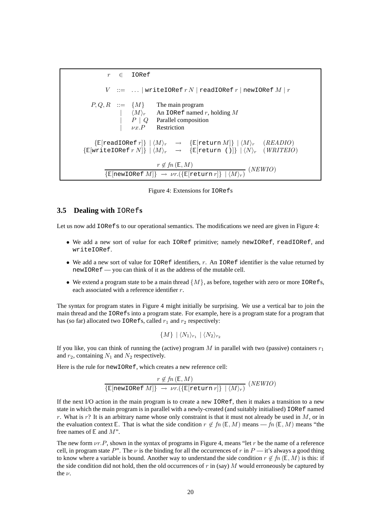r ∈ IORef  $V$  := ... | writeIORef  $r N$  | readIORef  $r$  | newIORef  $M | r$  $P, Q, R$  ::=  ${M}$  The main program  $\langle M \rangle_r$  An IORef named r, holding M  $P \mid Q$  Parallel composition  $\nu x.P$  Restriction  $\{E[\text{readToRef } r]\} | \langle M \rangle_r \rightarrow \{E[\text{return } M]\} | \langle M \rangle_r \langle (READIO)$  $\{E[written \text{ORef } r \text{N}] \} | \langle M \rangle_r \rightarrow \{E[return ()] \} | \langle N \rangle_r$  (WRITEIO)  $r\not\in fn\left(\mathbb{E},M\right)$  ${\mathbb{E}[\text{newLORef }M]\rightarrow \nu r.({\mathbb{E}[\text{return }r]\}\mid \langle M\rangle_r)}$  (NEWIO)

Figure 4: Extensions for IORefs

### **3.5 Dealing with** IORef**s**

Let us now add IORefs to our operational semantics. The modifications we need are given in Figure 4:

- We add a new sort of *value* for each IORef primitive; namely newIORef, readIORef, and writeIORef.
- We add a new sort of value for  $IOR \in$  identifiers, r. An IORef identifier is the value returned by newIORef — you can think of it as the address of the mutable cell.
- We extend a program state to be a main thread  $\{M\}$ , as before, together with zero or more IORefs, each associated with a reference identifier r.

The syntax for program states in Figure 4 might initially be surprising. We use a vertical bar to join the main thread and the IORefs into a program state. For example, here is a program state for a program that has (so far) allocated two IORefs, called  $r_1$  and  $r_2$  respectively:

$$
\{M\} \mid \langle N_1 \rangle_{r_1} \mid \langle N_2 \rangle_{r_2}
$$

If you like, you can think of running the (active) program  $M$  in parallel with two (passive) containers  $r_1$ and  $r_2$ , containing  $N_1$  and  $N_2$  respectively.

Here is the rule for newIORef, which creates a new reference cell:

$$
\frac{r \notin fn\left(\mathbb{E}, M\right)}{\{\mathbb{E}[\text{newIORef }M]\} \to \nu r.\left(\{\mathbb{E}[\text{return } r]\} \mid \langle M \rangle_r\right)} \ (NEWIO)
$$

If the next I/O action in the main program is to create a new IORef, then it makes a transition to a new state in which the main program is in parallel with a newly-created (and suitably initialised) IORef named r. What is  $r$ ? It is an arbitrary name whose only constraint is that it must not already be used in  $M$ , or in the evaluation context E. That is what the side condition  $r \notin fn(\mathbb{E}, M)$  means —  $fn(\mathbb{E}, M)$  means "the free names of  $E$  and  $M$ ".

The new form  $vr.P$ , shown in the syntax of programs in Figure 4, means "let r be the name of a reference cell, in program state P". The  $\nu$  is the binding for all the occurrences of r in P — it's always a good thing to know where a variable is bound. Another way to understand the side condition  $r \notin fn(\mathbb{E}, M)$  is this: if the side condition did not hold, then the old occurrences of  $r$  in (say) M would erroneously be captured by the  $\nu$ .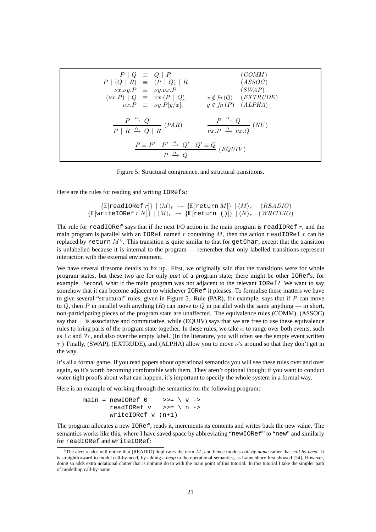| $P   Q \equiv Q   P$<br>$P (Q   R) \equiv (P   Q)   R$<br>$\nu x.\nu y.P \equiv \nu y.\nu x.P$<br>$(\nu x.P)   Q \equiv \nu x.(P   Q),$<br>$\nu x.P \equiv \nu y.P[y/x],$ | (COMM)<br>(ASSOC)<br>(SWAP)<br>$x \notin fn(Q)$ ( <i>EXTRUDE</i> )<br>$y \notin fn(P)$ (ALPHA)   |  |
|---------------------------------------------------------------------------------------------------------------------------------------------------------------------------|--------------------------------------------------------------------------------------------------|--|
| $\frac{P \stackrel{\alpha}{\rightarrow} Q}{P \mid R \stackrel{\alpha}{\rightarrow} Q \mid R} (PAR)$                                                                       | $\frac{P \stackrel{\alpha}{\rightarrow} Q}{\nu x.P \stackrel{\alpha}{\rightarrow} \nu x.Q} (NU)$ |  |
| $\frac{P\equiv P'\quad P'\ \stackrel{\alpha}{\longrightarrow}\ Q'\quad Q'\equiv Q}{P\ \stackrel{\alpha}{\longrightarrow}\ Q}\ (EQUIV)$                                    |                                                                                                  |  |

Figure 5: Structural congruence, and structural transitions.

Here are the rules for reading and writing IORefs:

$$
\{\mathbb{E}[\text{readIORef } r]\} \mid \langle M \rangle_r \rightarrow \{\mathbb{E}[\text{return } M]\} \mid \langle M \rangle_r \quad (READIO)
$$
  

$$
\{\mathbb{E}[\text{writeIORef } r N]\} \mid \langle M \rangle_r \rightarrow \{\mathbb{E}[\text{return } ()]\} \mid \langle N \rangle_r \quad (WRITEIO)
$$

The rule for readIORef says that if the next I/O action in the main program is readIORef  $r$ , and the main program is parallel with an IORef named r containing  $M$ , then the action readIORef r can be replaced by <code>return</code>  $M$   $^6.$  This transition is quite similar to that for <code>getChar</code>, except that the transition is unlabelled because it is internal to the program — remember that only labelled transitions represent interaction with the external environment.

We have several tiresome details to fix up. First, we originally said that the transitions were for whole program states, but these two are for only *part* of a program state; there might be other IORefs, for example. Second, what if the main program was not adjacent to the relevant IORef? We want to say somehow that it can become adjacent to whichever  $IOR \in I$  it pleases. To formalise these matters we have to give several "structural" rules, given in Figure 5. Rule (PAR), for example, says that if  $P$  can move to Q, then P in parallel with anything  $(R)$  can move to Q in parallel with the same anything — in short, non-participating pieces of the program state are unaffected. The equivalence rules (COMM), (ASSOC) say that | is associative and commutative, while (EQUIV) says that we are free to use these equivalence rules to bring parts of the program state together. In these rules, we take  $\alpha$  to range over both events, such as  $\lvert c \rvert$  c and  $\lvert c \rvert$  and also over the empty label. (In the literature, you will often see the empty event written  $\tau$ .) Finally, (SWAP), (EXTRUDE), and (ALPHA) allow you to move  $\nu$ 's around so that they don't get in the way.

It's all a formal game. If you read papers about operational semantics you will see these rules over and over again, so it's worth becoming comfortable with them. They aren't optional though; if you want to conduct water-tight proofs about what can happen, it's important to specify the whole system in a formal way.

Here is an example of working through the semantics for the following program:

$$
\begin{array}{ll}\text{main} &=& \text{newIORef 0} & \text{>>= } \setminus v \text{ ->} \\
 & & \text{readIORef v} & \text{>>= } \setminus n \text{ ->} \\
 & & \text{writeIORef v (n+1)}\end{array}
$$

The program allocates a new IORef, reads it, increments its contents and writes back the new value. The semantics works like this, where I have saved space by abbreviating "newIORef" to "new" and similarly for readIORef and writeIORef:

<sup>6</sup>The alert reader will notice that (READIO) duplicates the term M, and hence models *call-by-name* rather that *call-by-need*. It is straightforward to model call-by-need, by adding a *heap* to the operational semantics, as Launchbury first showed [24]. However, doing so adds extra notational clutter that is nothing do to with the main point of this tutorial. In this tutorial I take the simpler path of modelling call-by-name.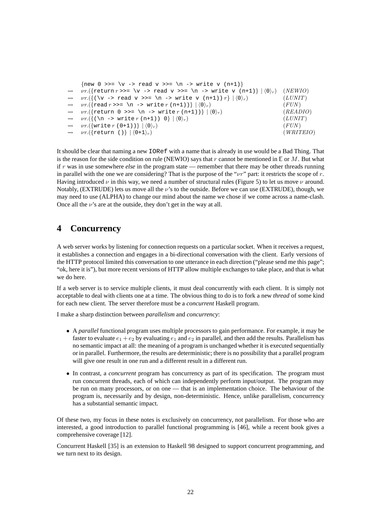```
{new 0 >>= \v -> read v >>= \n -> write v (n+1)}
\nu r.(\{\text{return } r \gg = \v \sim \text{ read } v \gg = \n -\text{ write } v \text{ (n+1)} \} \langle 0 \rangle_r (NEWIO)
\nu r.(\{(\forall v \rightarrow \text{read } v \rightarrow)= \forall n \rightarrow \text{write } v \ (n+1)) r\} | \langle 0 \rangle_r) (LUNIT)
\nu r.({\text{read } r}>>= \n\overline{r} \text{ (n+1)}) \mid \langle 0 \rangle_r (FUN)
\nu r.(\{\text{return } 0 \implies \in \mathbb{R} \to \text{write } r \in (n+1))\} \mid \langle 0 \rangle_r) (READIO)
\nu r.(\{(\text{ }n \rightarrow \text{write } r \text{ } (n+1)) \text{ } 0\} | \langle 0 \rangle_r) (LUNIT)
\nu r.(\{ \text{write } r \ (0+1) ) \} \mid \langle 0 \rangle_r) (FUN)
\nu r.({\text{return (})} \mid (0+1)_r) (WRITEIO)
```
It should be clear that naming a new IORef with a name that is already in use would be a Bad Thing. That is the reason for the side condition on rule (NEWIO) says that r cannot be mentioned in  $E$  or M. But what if r was in use somewhere *else* in the program state — remember that there may be other threads running in parallel with the one we are considering? That is the purpose of the " $\nu r$ " part: it restricts the scope of r. Having introduced  $\nu$  in this way, we need a number of structural rules (Figure 5) to let us move  $\nu$  around. Notably, (EXTRUDE) lets us move all the  $\nu$ 's to the outside. Before we can use (EXTRUDE), though, we may need to use (ALPHA) to change our mind about the name we chose if we come across a name-clash. Once all the  $\nu$ 's are at the outside, they don't get in the way at all.

# **4 Concurrency**

A web server works by listening for connection requests on a particular socket. When it receives a request, it establishes a connection and engages in a bi-directional conversation with the client. Early versions of the HTTP protocol limited this conversation to one utterance in each direction ("please send me this page"; "ok, here it is"), but more recent versions of HTTP allow multiple exchanges to take place, and that is what we do here.

If a web server is to service multiple clients, it must deal concurrently with each client. It is simply not acceptable to deal with clients one at a time. The obvious thing to do is to fork a new *thread* of some kind for each new client. The server therefore must be a *concurrent* Haskell program.

I make a sharp distinction between *parallelism* and *concurrency*:

- A *parallel* functional program uses multiple processors to gain performance. For example, it may be faster to evaluate  $e_1 + e_2$  by evaluating  $e_1$  and  $e_2$  in parallel, and then add the results. Parallelism has no semantic impact at all: the meaning of a program is unchanged whether it is executed sequentially or in parallel. Furthermore, the results are deterministic; there is no possibility that a parallel program will give one result in one run and a different result in a different run.
- In contrast, a *concurrent* program has concurrency as part of its specification. The program must run concurrent threads, each of which can independently perform input/output. The program may be run on many processors, or on one — that is an implementation choice. The behaviour of the program is, necessarily and by design, non-deterministic. Hence, unlike parallelism, concurrency has a substantial semantic impact.

Of these two, my focus in these notes is exclusively on concurrency, not parallelism. For those who are interested, a good introduction to parallel functional programming is [46], while a recent book gives a comprehensive coverage [12].

Concurrent Haskell [35] is an extension to Haskell 98 designed to support concurrent programming, and we turn next to its design.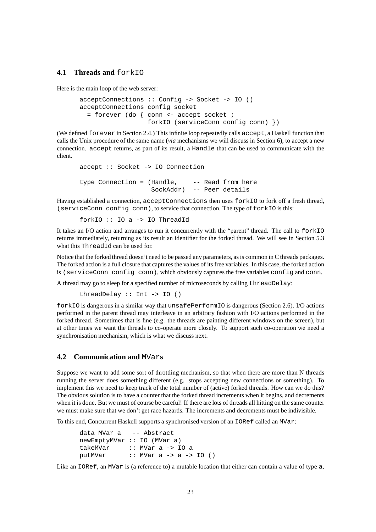# **4.1 Threads and forkIO**

Here is the main loop of the web server:

```
acceptConnections :: Config -> Socket -> IO ()
acceptConnections config socket
  = forever (do { conn <- accept socket ;
                  forkIO (serviceConn config conn) })
```
(We defined forever in Section 2.4.) This infinite loop repeatedly calls accept, a Haskell function that calls the Unix procedure of the same name (*via* mechanisms we will discuss in Section 6), to accept a new connection. accept returns, as part of its result, a Handle that can be used to communicate with the client.

```
accept :: Socket -> IO Connection
type Connection = (Handle, -- Read from here)SockAddr) -- Peer details
```
Having established a connection, acceptConnections then uses forkIO to fork off a fresh thread, (serviceConn config conn), to service that connection. The type of forkIO is this:

forkIO :: IO a -> IO ThreadId

It takes an I/O action and arranges to run it concurrently with the "parent" thread. The call to forkIO returns immediately, returning as its result an identifier for the forked thread. We will see in Section 5.3 what this ThreadId can be used for.

Notice that the forked thread doesn't need to be passed any parameters, as is common in C threads packages. The forked action is a full closure that captures the values of its free variables. In this case, the forked action is (serviceConn config conn), which obviously captures the free variables config and conn.

A thread may go to sleep for a specified number of microseconds by calling threadDelay:

threadDelay :: Int -> IO ()

forkIO is dangerous in a similar way that unsafePerformIO is dangerous (Section 2.6). I/O actions performed in the parent thread may interleave in an arbitrary fashion with I/O actions performed in the forked thread. Sometimes that is fine (e.g. the threads are painting different windows on the screen), but at other times we want the threads to co-operate more closely. To support such co-operation we need a synchronisation mechanism, which is what we discuss next.

# **4.2 Communication and** MVar**s**

Suppose we want to add some sort of throttling mechanism, so that when there are more than N threads running the server does something different (e.g. stops accepting new connections or something). To implement this we need to keep track of the total number of (active) forked threads. How can we do this? The obvious solution is to have a counter that the forked thread increments when it begins, and decrements when it is done. But we must of course be careful! If there are lots of threads all hitting on the same counter we must make sure that we don't get race hazards. The increments and decrements must be indivisible.

To this end, Concurrent Haskell supports a synchronised version of an IORef called an MVar:

```
data MVar a -- Abstract
newEmptyMVar :: IO (MVar a)
takeMVar :: MVar a -> IO a
putMVar :: MVar a -> a -> IO ()
```
Like an IORef, an MVar is (a reference to) a mutable location that either can contain a value of type a,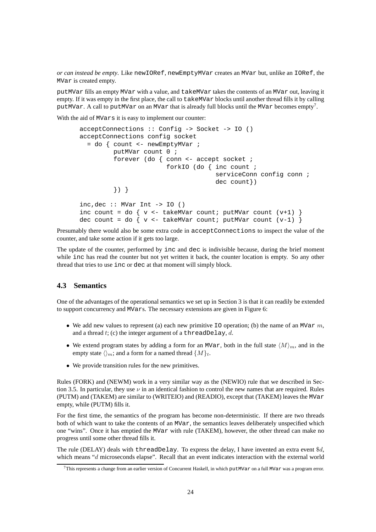*or can instead be empty*. Like newIORef, newEmptyMVar creates an MVar but, unlike an IORef, the MVar is created empty.

putMVar fills an empty MVar with a value, and takeMVar takes the contents of an MVar out, leaving it empty. If it was empty in the first place, the call to takeMVar blocks until another thread fills it by calling putMVar. A call to putMVar on an MVar that is already full blocks until the MVar becomes empty<sup>7</sup>.

With the aid of MVars it is easy to implement our counter:

```
acceptConnections :: Config -> Socket -> IO ()
acceptConnections config socket
  = do { count <- newEmptyMVar ;
         putMVar count 0 ;
         forever (do { conn <- accept socket ;
                       forkIO (do { inc count ;
                                    serviceConn config conn ;
                                    dec count})
         }) }
inc, dec :: MVar Int -> IO ()
inc count = do { v <- takeMVar count; putMVar count (v+1) }
dec count = do { v <- takeMVar count; putMVar count (v-1) }
```
Presumably there would also be some extra code in acceptConnections to inspect the value of the counter, and take some action if it gets too large.

The update of the counter, performed by inc and dec is indivisible because, during the brief moment while inc has read the counter but not yet written it back, the counter location is empty. So any other thread that tries to use inc or dec at that moment will simply block.

# **4.3 Semantics**

One of the advantages of the operational semantics we set up in Section 3 is that it can readily be extended to support concurrency and MVars. The necessary extensions are given in Figure 6:

- We add new values to represent (a) each new primitive  $\text{I} \circ \text{operation}$ ; (b) the name of an MVar m, and a thread  $t$ ; (c) the integer argument of a threadDelay,  $d$ .
- We extend program states by adding a form for an MVar, both in the full state  $\langle M \rangle_m$ , and in the empty state  $\langle \rangle_m$ ; and a form for a named thread  $\{M\}_t$ .
- We provide transition rules for the new primitives.

Rules (FORK) and (NEWM) work in a very similar way as the (NEWIO) rule that we described in Section 3.5. In particular, they use  $\nu$  in an identical fashion to control the new names that are required. Rules (PUTM) and (TAKEM) are similar to (WRITEIO) and (READIO), except that (TAKEM) leaves the MVar empty, while (PUTM) fills it.

For the first time, the semantics of the program has become non-deterministic. If there are two threads both of which want to take the contents of an MVar, the semantics leaves deliberately unspecified which one "wins". Once it has emptied the MVar with rule (TAKEM), however, the other thread can make no progress until some other thread fills it.

The rule (DELAY) deals with threadDelay. To express the delay, I have invented an extra event \$d, which means "d microseconds elapse". Recall that an event indicates interaction with the external world

<sup>&</sup>lt;sup>7</sup>This represents a change from an earlier version of Concurrent Haskell, in which putMVar on a full MVar was a program error.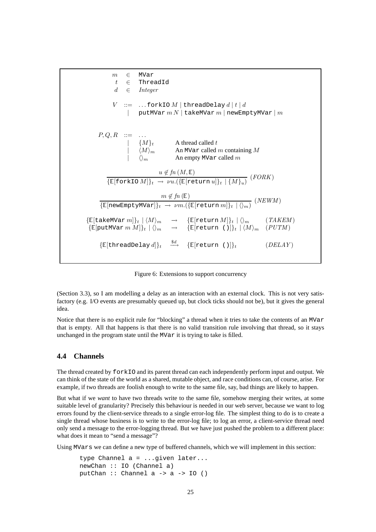

Figure 6: Extensions to support concurrency

(Section 3.3), so I am modelling a delay as an interaction with an external clock. This is not very satisfactory (e.g. I/O events are presumably queued up, but clock ticks should not be), but it gives the general idea.

Notice that there is no explicit rule for "blocking" a thread when it tries to take the contents of an MVar that is empty. All that happens is that there is no valid transition rule involving that thread, so it stays unchanged in the program state until the MVar it is trying to take is filled.

## **4.4 Channels**

The thread created by forkIO and its parent thread can each independently perform input and output. We can think of the state of the world as a shared, mutable object, and race conditions can, of course, arise. For example, if two threads are foolish enough to write to the same file, say, bad things are likely to happen.

But what if we *want* to have two threads write to the same file, somehow merging their writes, at some suitable level of granularity? Precisely this behaviour is needed in our web server, because we want to log errors found by the client-service threads to a single error-log file. The simplest thing to do is to create a single thread whose business is to write to the error-log file; to log an error, a client-service thread need only send a message to the error-logging thread. But we have just pushed the problem to a different place: what does it mean to "send a message"?

Using MVars we can define a new type of buffered channels, which we will implement in this section:

```
type Channel a = ...given later...
newChan :: IO (Channel a)
putChan :: Channel a -> a -> IO ()
```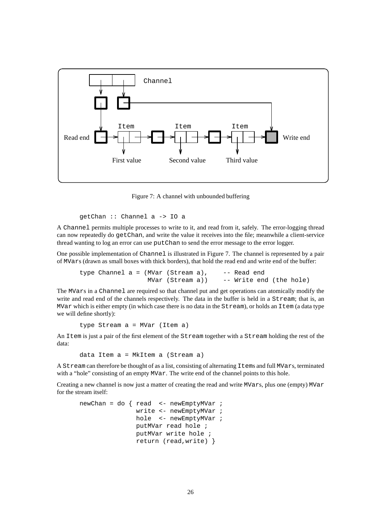

Figure 7: A channel with unbounded buffering

```
getChan :: Channel a -> IO a
```
A Channel permits multiple processes to write to it, and read from it, safely. The error-logging thread can now repeatedly do getChan, and write the value it receives into the file; meanwhile a client-service thread wanting to log an error can use putChan to send the error message to the error logger.

One possible implementation of Channel is illustrated in Figure 7. The channel is represented by a pair of MVars (drawn as small boxes with thick borders), that hold the read end and write end of the buffer:

type Channel a = (MVar (Stream a), -- Read end MVar (Stream a)) -- Write end (the hole)

The MVars in a Channel are required so that channel put and get operations can atomically modify the write and read end of the channels respectively. The data in the buffer is held in a Stream; that is, an MVar which is either empty (in which case there is no data in the Stream), or holds an Item (a data type we will define shortly):

type Stream a = MVar (Item a)

An Item is just a pair of the first element of the Stream together with a Stream holding the rest of the data:

data Item a = MkItem a (Stream a)

A Stream can therefore be thought of as a list, consisting of alternating Items and full MVars, terminated with a "hole" consisting of an empty MVar. The write end of the channel points to this hole.

Creating a new channel is now just a matter of creating the read and write MVars, plus one (empty) MVar for the stream itself:

```
newChan = do \{ read < - newEmptyMVar ;
               write <- newEmptyMVar ;
               hole <- newEmptyMVar ;
               putMVar read hole ;
               putMVar write hole ;
               return (read,write) }
```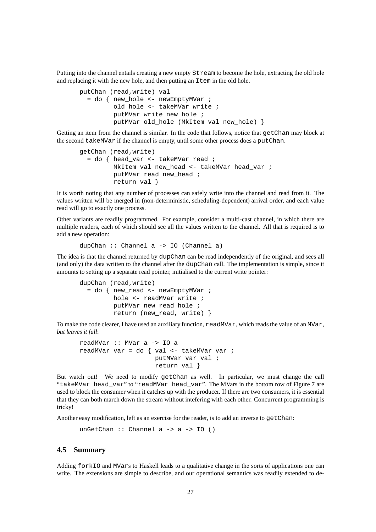Putting into the channel entails creating a new empty  $\text{Stream}$  to become the hole, extracting the old hole and replacing it with the new hole, and then putting an Item in the old hole.

```
putChan (read,write) val
  = do { new_hole <- newEmptyMVar ;
         old_hole <- takeMVar write ;
         putMVar write new hole ;
         putMVar old_hole (MkItem val new_hole) }
```
Getting an item from the channel is similar. In the code that follows, notice that getChan may block at the second takeMVar if the channel is empty, until some other process does a putChan.

```
getChan (read,write)
  = do { head_var <- takeMVar read ;
         MkItem val new_head <- takeMVar head_var ;
         putMVar read new head ;
         return val }
```
It is worth noting that any number of processes can safely write into the channel and read from it. The values written will be merged in (non-deterministic, scheduling-dependent) arrival order, and each value read will go to exactly one process.

Other variants are readily programmed. For example, consider a multi-cast channel, in which there are multiple readers, each of which should see all the values written to the channel. All that is required is to add a new operation:

```
dupChan :: Channel a -> IO (Channel a)
```
The idea is that the channel returned by dupChan can be read independently of the original, and sees all (and only) the data written to the channel after the dupChan call. The implementation is simple, since it amounts to setting up a separate read pointer, initialised to the current write pointer:

```
dupChan (read,write)
  = do { new_read <- newEmptyMVar ;
         hole <- readMVar write ;
         putMVar new_read hole ;
         return (new read, write) }
```
To make the code clearer, I have used an auxiliary function, readMVar, which reads the value of an MVar, *but leaves it full*:

```
readMVar :: MVar a -> IO a
readMVar var = do { val <- takeMVar var ;
                    putMVar var val ;
                    return val }
```
But watch out! We need to modify getChan as well. In particular, we must change the call "takeMVar head var" to "readMVar head var". The MVars in the bottom row of Figure 7 are used to block the consumer when it catches up with the producer. If there are two consumers, it is essential that they can both march down the stream without intefering with each other. Concurrent programming is tricky!

Another easy modification, left as an exercise for the reader, is to add an inverse to getChan:

```
unGetChan :: Channel a -> a -> IO ()
```
### **4.5 Summary**

Adding forkIO and MVars to Haskell leads to a qualitative change in the sorts of applications one can write. The extensions are simple to describe, and our operational semantics was readily extended to de-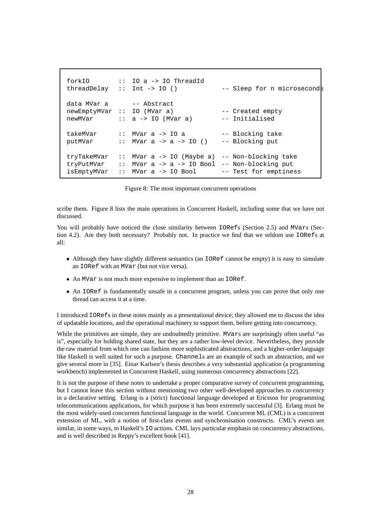```
forkIO :: IO a -> IO ThreadId
threadDelay :: Int -> IO () - Sleep for n microseconds
data MVar a -- Abstract
newEmptyMVar :: IO (MVar a) -- Created empty
newMVar :: a -> IO (MVar a) -- Initialised
takeMVar :: MVar a -> IO a -- Blocking take
putMVar \therefore MVar a -> a -> IO () -- Blocking put
tryTakeMVar :: MVar a -> IO (Maybe a) -- Non-blocking take
tryPutMVar :: MVar a -> a -> IO Bool -- Non-blocking put
isEmptyMVar :: MVar a -> IO Bool -- Test for emptiness
```
Figure 8: The most important concurrent operations

scribe them. Figure 8 lists the main operations in Concurrent Haskell, including some that we have not discussed.

You will probably have noticed the close similarity between  $IORES$  (Section 2.5) and MVars (Section 4.2). Are they both necessary? Probably not. In practice we find that we seldom use IORefs at all:

- Although they have slightly different semantics (an IORef cannot be empty) it is easy to simulate an IORef with an MVar (but not vice versa).
- An MVar is not much more expensive to implement than an IORef.
- An IORef is fundamentally unsafe in a concurrent program, unless you can prove that only one thread can access it at a time.

I introduced IORefs in these notes mainly as a presentational device; they allowed me to discuss the idea of updatable locations, and the operational machinery to support them, before getting into concurrency.

While the primitives are simple, they are undoubtedly primitive. MVars are surprisingly often useful "as is", especially for holding shared state, but they are a rather low-level device. Nevertheless, they provide the raw material from which one can fashion more sophisticated abstractions, and a higher-order language like Haskell is well suited for such a purpose. Channels are an example of such an abstraction, and we give several more in [35]. Einar Karlsen's thesis describes a very substantial application (a programming workbench) implemented in Concurrent Haskell, using numerous concurrency abstractions [22].

It is not the purpose of these notes to undertake a proper comparative survey of concurrent programming, but I cannot leave this section without mentioning two other well-developed approaches to concurrency in a declarative setting. Erlang is a (strict) functional language developed at Ericsson for programming telecommunications applications, for which purpose it has been extremely successful [3]. Erlang must be the most widely-used concurrent functional language in the world. Concurrent ML (CML) is a concurrent extension of ML, with a notion of first-class events and synchronisation constructs. CML's *events* are similar, in some ways, to Haskell's IO actions. CML lays particular emphasis on concurrency abstractions, and is well described in Reppy's excellent book [41].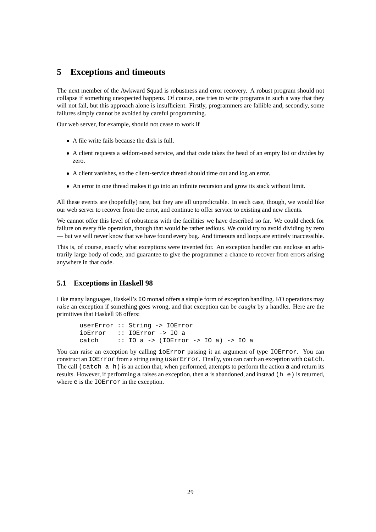# **5 Exceptions and timeouts**

The next member of the Awkward Squad is robustness and error recovery. A robust program should not collapse if something unexpected happens. Of course, one tries to write programs in such a way that they will not fail, but this approach alone is insufficient. Firstly, programmers are fallible and, secondly, some failures simply cannot be avoided by careful programming.

Our web server, for example, should not cease to work if

- A file write fails because the disk is full.
- A client requests a seldom-used service, and that code takes the head of an empty list or divides by zero.
- A client vanishes, so the client-service thread should time out and log an error.
- An error in one thread makes it go into an infinite recursion and grow its stack without limit.

All these events are (hopefully) rare, but they are all unpredictable. In each case, though, we would like our web server to recover from the error, and continue to offer service to existing and new clients.

We cannot offer this level of robustness with the facilities we have described so far. We could check for failure on every file operation, though that would be rather tedious. We could try to avoid dividing by zero — but we will never know that we have found every bug. And timeouts and loops are entirely inaccessible.

This is, of course, exactly what exceptions were invented for. An exception handler can enclose an arbitrarily large body of code, and guarantee to give the programmer a chance to recover from errors arising anywhere in that code.

### **5.1 Exceptions in Haskell 98**

Like many languages, Haskell's IO monad offers a simple form of exception handling. I/O operations may *raise* an exception if something goes wrong, and that exception can be *caught* by a handler. Here are the primitives that Haskell 98 offers:

```
userError :: String -> IOError
ioError :: IOError -> IO a
catch :: IO a -> (IOError -> IO a) -> IO a
```
You can raise an exception by calling  $i$  o Error passing it an argument of type IOError. You can construct an IOError from a string using userError. Finally, you can catch an exception with catch. The call (catch  $\alpha$  h) is an action that, when performed, attempts to perform the action a and return its results. However, if performing a raises an exception, then a is abandoned, and instead (h  $\epsilon$ ) is returned, where e is the IOError in the exception.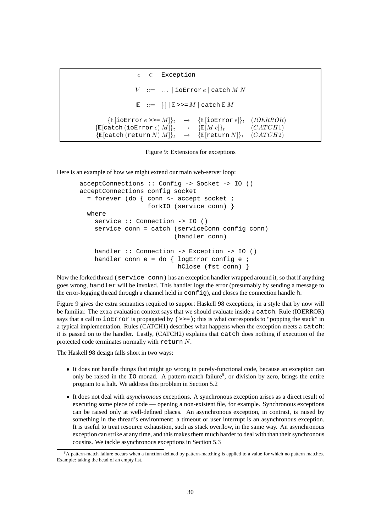```
e \in Exception
                   V := ... | ioError e | catch M NE := \left[\cdot\right] | E \gg M | catch EM\{\mathbb{E}[\text{ioError } e \rangle = M]\}_t \rightarrow \{\mathbb{E}[\text{ioError } e]\}_t \quad (IOERROR)\{\mathbb{E}[\text{catch (ioError } e) M]\}_t \rightarrow \{\mathbb{E}[M e]\}_t (CATCH1)
\{\mathbb{E}[\text{catch (return } N) M]\}_t \rightarrow \{\mathbb{E}[\text{return } N]\}_t \quad (CATCH2)
```
Figure 9: Extensions for exceptions

Here is an example of how we might extend our main web-server loop:

```
acceptConnections :: Config -> Socket -> IO ()
acceptConnections config socket
  = forever (do { conn <- accept socket ;
                  forkIO (service conn) }
 where
   service :: Connection -> IO ()
    service conn = catch (serviceConn config conn)
                         (handler conn)
   handler :: Connection -> Exception -> IO ()
   handler conn e = do { logError config e ;
                          hClose (fst conn) }
```
Now the forked thread (service conn) has an exception handler wrapped around it, so that if anything goes wrong, handler will be invoked. This handler logs the error (presumably by sending a message to the error-logging thread through a channel held in config), and closes the connection handle h.

Figure 9 gives the extra semantics required to support Haskell 98 exceptions, in a style that by now will be familiar. The extra evaluation context says that we should evaluate inside a catch. Rule (IOERROR) says that a call to  $i \in \mathbb{R}$  is propagated by (>>=); this is what corresponds to "popping the stack" in a typical implementation. Rules (CATCH1) describes what happens when the exception meets a catch: it is passed on to the handler. Lastly, (CATCH2) explains that catch does nothing if execution of the protected code terminates normally with return N.

The Haskell 98 design falls short in two ways:

- It does not handle things that might go wrong in purely-functional code, because an exception can only be raised in the 10 monad. A pattern-match failure<sup>8</sup>, or division by zero, brings the entire program to a halt. We address this problem in Section 5.2
- It does not deal with *asynchronous* exceptions. A synchronous exception arises as a direct result of executing some piece of code — opening a non-existent file, for example. Synchronous exceptions can be raised only at well-defined places. An asynchronous exception, in contrast, is raised by something in the thread's environment: a timeout or user interrupt is an asynchronous exception. It is useful to treat resource exhaustion, such as stack overflow, in the same way. An asynchronous exception can strike at any time, and this makes them much harder to deal with than their synchronous cousins. We tackle asynchronous exceptions in Section 5.3

<sup>&</sup>lt;sup>8</sup>A pattern-match failure occurs when a function defined by pattern-matching is applied to a value for which no pattern matches. Example: taking the head of an empty list.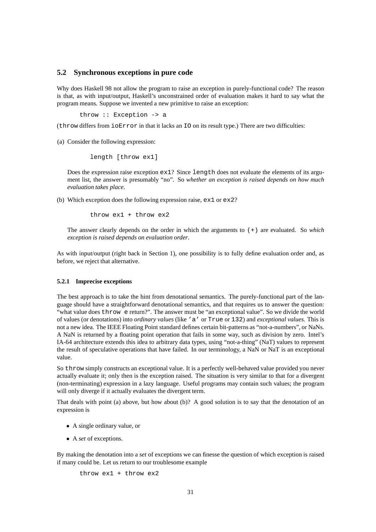### **5.2 Synchronous exceptions in pure code**

Why does Haskell 98 not allow the program to raise an exception in purely-functional code? The reason is that, as with input/output, Haskell's unconstrained order of evaluation makes it hard to say what the program means. Suppose we invented a new primitive to raise an exception:

throw :: Exception -> a

(throw differs from ioError in that it lacks an IO on its result type.) There are two difficulties:

(a) Consider the following expression:

length [throw ex1]

Does the expression raise exception  $ex1$ ? Since length does not evaluate the elements of its argument list, the answer is presumably "no". So *whether an exception is raised depends on how much evaluation takes place*.

(b) Which exception does the following expression raise, ex1 or ex2?

throw ex1 + throw ex2

The answer clearly depends on the order in which the arguments to (+) are evaluated. So *which exception is raised depends on evaluation order*.

As with input/output (right back in Section 1), one possibility is to fully define evaluation order and, as before, we reject that alternative.

#### **5.2.1 Imprecise exceptions**

The best approach is to take the hint from denotational semantics. The purely-functional part of the language should have a straightforward denotational semantics, and that requires us to answer the question: "what value does throw e return?". The answer must be "an exceptional value". So we divide the world of values (or denotations) into *ordinary values* (like 'a' or True or 132) and *exceptional values*. This is not a new idea. The IEEE Floating Point standard defines certain bit-patterns as "not-a-numbers", or NaNs. A NaN is returned by a floating point operation that fails in some way, such as division by zero. Intel's IA-64 architecture extends this idea to arbitrary data types, using "not-a-thing" (NaT) values to represent the result of speculative operations that have failed. In our terminology, a NaN or NaT is an exceptional value.

So throw simply constructs an exceptional value. It is a perfectly well-behaved value provided you never actually evaluate it; only then is the exception raised. The situation is very similar to that for a divergent (non-terminating) expression in a lazy language. Useful programs may contain such values; the program will only diverge if it actually evaluates the divergent term.

That deals with point (a) above, but how about (b)? A good solution is to say that the denotation of an expression is

- A single ordinary value, or
- A *set* of exceptions.

By making the denotation into a *set* of exceptions we can finesse the question of which exception is raised if many could be. Let us return to our troublesome example

throw ex1 + throw ex2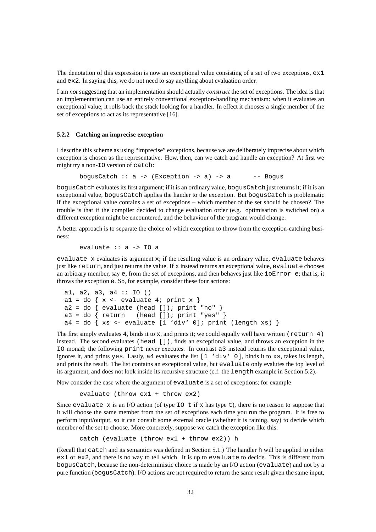The denotation of this expression is now an exceptional value consisting of a set of two exceptions,  $ex1$ and ex2. In saying this, we do not need to say anything about evaluation order.

I am *not* suggesting that an implementation should actually *construct* the set of exceptions. The idea is that an implementation can use an entirely conventional exception-handling mechanism: when it evaluates an exceptional value, it rolls back the stack looking for a handler. In effect it chooses a single member of the set of exceptions to act as its representative [16].

### **5.2.2 Catching an imprecise exception**

I describe this scheme as using "imprecise" exceptions, because we are deliberately imprecise about which exception is chosen as the representative. How, then, can we catch and handle an exception? At first we might try a non-IO version of catch:

bogusCatch  $:: a -> (Exception -> a) -> a$  -- Bogus

bogusCatch evaluates its first argument; if it is an ordinary value, bogusCatch just returns it; if it is an exceptional value, bogusCatch applies the hander to the exception. But bogusCatch is problematic if the exceptional value contains a set of exceptions – which member of the set should be chosen? The trouble is that if the compiler decided to change evaluation order (e.g. optimisation is switched on) a different exception might be encountered, and the behaviour of the program would change.

A better approach is to separate the choice of which exception to throw from the exception-catching business:

evaluate :: a -> IO a

evaluate  $x$  evaluates its argument  $x$ ; if the resulting value is an ordinary value, evaluate behaves just like return, and just returns the value. If x instead returns an exceptional value, evaluate chooses an arbitrary member, say e, from the set of exceptions, and then behaves just like ioError e; that is, it throws the exception e. So, for example, consider these four actions:

```
a1, a2, a3, a4 :: IO ()
a1 = do { x \leftarrow evaluate 4; print x }
a2 = do \{ evaluate (head []); print "no" \}<br>a3 = do \{ return (head []); print "yes" \}(head []; print "yes" }
a4 = do \{ xs \leftarrow evaluate [1 'div' 0] ; print (length xs) \}
```
The first simply evaluates 4, binds it to x, and prints it; we could equally well have written (return 4) instead. The second evaluates (head []), finds an exceptional value, and throws an exception in the IO monad; the following print never executes. In contrast a3 instead returns the exceptional value, ignores it, and prints yes. Lastly,  $a4$  evaluates the list  $\begin{bmatrix} 1 \\ 3 \end{bmatrix}$  o], binds it to xs, takes its length, and prints the result. The list contains an exceptional value, but evaluate only evalutes the top level of its argument, and does not look inside its recursive structure (c.f. the length example in Section 5.2).

Now consider the case where the argument of evaluate is a set of exceptions; for example

evaluate (throw ex1 + throw ex2)

Since evaluate x is an I/O action (of type  $\text{IO}$  t if x has type t), there is no reason to suppose that it will choose the same member from the set of exceptions each time you run the program. It is free to perform input/output, so it can consult some external oracle (whether it is raining, say) to decide which member of the set to choose. More concretely, suppose we catch the exception like this:

catch (evaluate (throw ex1 + throw ex2)) h

(Recall that catch and its semantics was defined in Section 5.1.) The handler h will be applied to either ex1 or ex2, and there is no way to tell which. It is up to evaluate to decide. This is different from bogusCatch, because the non-deterministic choice is made by an I/O action (evaluate) and not by a pure function (bogusCatch). I/O actions are not required to return the same result given the same input,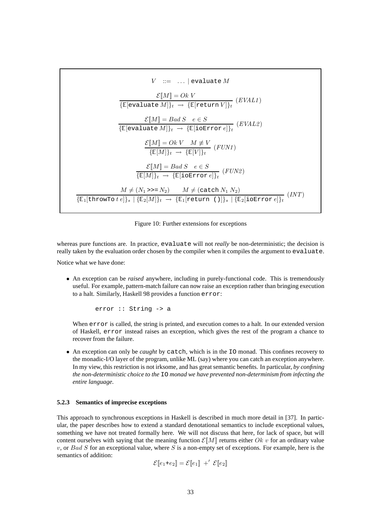

Figure 10: Further extensions for exceptions

whereas pure functions are. In practice, evaluate will not *really* be non-deterministic; the decision is really taken by the evaluation order chosen by the compiler when it compiles the argument to evaluate.

Notice what we have done:

• An exception can be *raised* anywhere, including in purely-functional code. This is tremendously useful. For example, pattern-match failure can now raise an exception rather than bringing execution to a halt. Similarly, Haskell 98 provides a function error:

error :: String -> a

When error is called, the string is printed, and execution comes to a halt. In our extended version of Haskell, error instead raises an exception, which gives the rest of the program a chance to recover from the failure.

• An exception can only be *caught* by catch, which is in the IO monad. This confines recovery to the monadic-I/O layer of the program, unlike ML (say) where you can catch an exception anywhere. In my view, this restriction is not irksome, and has great semantic benefits. In particular, *by confining the non-deterministic choice to the* IO *monad we have prevented non-determinism from infecting the entire language*.

#### **5.2.3 Semantics of imprecise exceptions**

This approach to synchronous exceptions in Haskell is described in much more detail in [37]. In particular, the paper describes how to extend a standard denotational semantics to include exceptional values, something we have not treated formally here. We will not discuss that here, for lack of space, but will content ourselves with saying that the meaning function  $\mathcal{E}[M]$  returns either Ok v for an ordinary value  $v$ , or Bad S for an exceptional value, where S is a non-empty set of exceptions. For example, here is the semantics of addition:

$$
\mathcal{E}\llbracket e_1 + e_2 \rrbracket = \mathcal{E}\llbracket e_1 \rrbracket + \mathcal{E}\llbracket e_2 \rrbracket
$$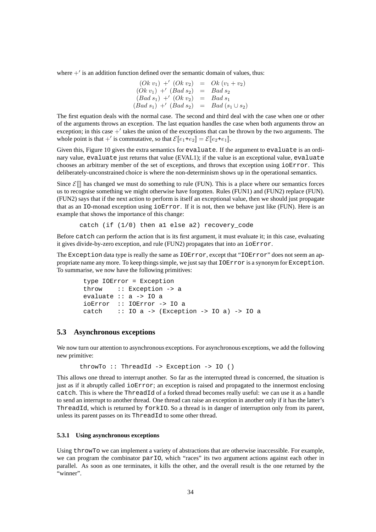where  $+$ <sup>'</sup> is an addition function defined over the semantic domain of values, thus:

$$
(Ok \ v_1) +' (Ok \ v_2) = Ok (v_1 + v_2)
$$
  
\n
$$
(Ok \ v_1) +' (Bad \ s_2) = Bad \ s_2
$$
  
\n
$$
(Bad \ s_1) +' (Ok \ v_2) = Bad \ s_1
$$
  
\n
$$
(Bad \ s_1) +' (Bad \ s_2) = Bad (\ s_1 \cup s_2)
$$

The first equation deals with the normal case. The second and third deal with the case when one or other of the arguments throws an exception. The last equation handles the case when both arguments throw an exception; in this case  $+^{\prime}$  takes the union of the exceptions that can be thrown by the two arguments. The whole point is that +' is commutative, so that  $\mathcal{E}[e_1+e_2] = \mathcal{E}[e_2+e_1]$ .

Given this, Figure 10 gives the extra semantics for evaluate. If the argument to evaluate is an ordinary value, evaluate just returns that value (EVAL1); if the value is an exceptional value, evaluate chooses an arbitrary member of the set of exceptions, and throws that exception using ioError. This deliberately-unconstrained choice is where the non-determinism shows up in the operational semantics.

Since  $\mathcal{E}$  as changed we must do something to rule (FUN). This is a place where our semantics forces us to recognise something we might otherwise have forgotten. Rules (FUN1) and (FUN2) replace (FUN). (FUN2) says that if the next action to perform is itself an exceptional value, then we should just propagate that as an IO-monad exception using ioError. If it is not, then we behave just like (FUN). Here is an example that shows the importance of this change:

catch (if  $(1/0)$  then al else a2) recovery code

Before catch can perform the action that is its first argument, it must evaluate it; in this case, evaluating it gives divide-by-zero exception, and rule (FUN2) propagates that into an ioError.

The Exception data type is really the same as IOError, except that "IOError" does not seem an appropriate name any more. To keep things simple, we just say that IOError is a synonym for Exception. To summarise, we now have the following primitives:

```
type IOError = Exception
throw :: Exception -> a
evaluate :: a -> IO a
ioError :: IOError -> IO a
catch :: IO a -> (Exception -> IO a) -> IO a
```
### **5.3 Asynchronous exceptions**

We now turn our attention to asynchronous exceptions. For asynchronous exceptions, we add the following new primitive:

```
throwTo :: ThreadId -> Exception -> IO ()
```
This allows one thread to interrupt another. So far as the interrupted thread is concerned, the situation is just as if it abruptly called ioError; an exception is raised and propagated to the innermost enclosing catch. This is where the ThreadId of a forked thread becomes really useful: we can use it as a handle to send an interrupt to another thread. One thread can raise an exception in another only if it has the latter's ThreadId, which is returned by forkIO. So a thread is in danger of interruption only from its parent, unless its parent passes on its ThreadId to some other thread.

#### **5.3.1 Using asynchronous exceptions**

Using throwTo we can implement a variety of abstractions that are otherwise inaccessible. For example, we can program the combinator parIO, which "races" its two argument actions against each other in parallel. As soon as one terminates, it kills the other, and the overall result is the one returned by the "winner".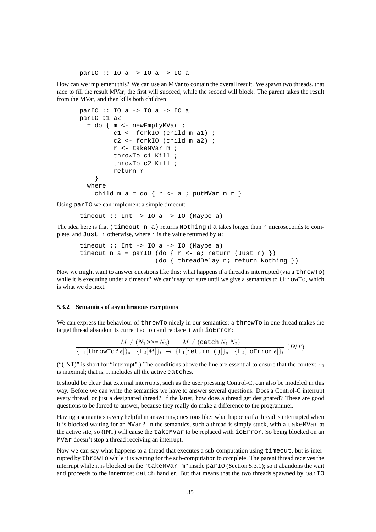parIO :: IO a -> IO a -> IO a

How can we implement this? We can use an MVar to contain the overall result. We spawn two threads, that race to fill the result MVar; the first will succeed, while the second will block. The parent takes the result from the MVar, and then kills both children:

```
parIO :: IO a -> IO a -> IO a
parIO a1 a2
  = do \{ m \leq - newEmptyMVar ;
         c1 <- forkIO (child m a1) ;
         c2 <- forkIO (child m a2) ;
         r <- takeMVar m ;
         throwTo c1 Kill ;
         throwTo c2 Kill ;
         return r
    }
  where
    child m a = do \{ r \leftarrow a : putMVar m r \}
```
Using par<sub>IO</sub> we can implement a simple timeout:

timeout  $::$  Int  $->$  IO a  $->$  IO (Maybe a)

The idea here is that (timeout n a) returns Nothing if a takes longer than n microseconds to complete, and Just  $r$  otherwise, where  $r$  is the value returned by a:

```
timeout :: Int -> IO a -> IO (Maybe a)
timeout n a = parIO (do { r <- a; return (Just r) })
                    (do { threadDelay n; return Nothing })
```
Now we might want to answer questions like this: what happens if a thread is interrupted (via a throwTo) while it is executing under a timeout? We can't say for sure until we give a semantics to throwTo, which is what we do next.

#### **5.3.2 Semantics of asynchronous exceptions**

We can express the behaviour of throwTo nicely in our semantics: a throwTo in one thread makes the target thread abandon its current action and replace it with ioError:

$$
M \neq (N_1 \rightarrow P_2) \qquad M \neq (\text{catch } N_1 N_2)
$$

$$
\{\mathbb{E}_1[\text{throwTo } t e]\}_s \mid \{\mathbb{E}_2[M]\}_t \rightarrow \{\mathbb{E}_1[\text{return } ()]\}_s \mid \{\mathbb{E}_2[\text{ioError } e]\}_t \quad (INT)
$$

("(INT)" is short for "interrupt".) The conditions above the line are essential to ensure that the context  $E_2$ is maximal; that is, it includes all the active catches.

It should be clear that external interrupts, such as the user pressing Control-C, can also be modeled in this way. Before we can write the semantics we have to answer several questions. Does a Control-C interrupt every thread, or just a designated thread? If the latter, how does a thread get designated? These are good questions to be forced to answer, because they really do make a difference to the programmer.

Having a semantics is very helpful in answering questions like: what happens if a thread is interrupted when it is blocked waiting for an MVar? In the semantics, such a thread is simply stuck, with a takeMVar at the active site, so (INT) will cause the takeMVar to be replaced with ioError. So being blocked on an MVar doesn't stop a thread receiving an interrupt.

Now we can say what happens to a thread that executes a sub-computation using timeout, but is interrupted by throwTo while it is waiting for the sub-computation to complete. The parent thread receives the interrupt while it is blocked on the "takeMVar m" inside parIO (Section 5.3.1); so it abandons the wait and proceeds to the innermost catch handler. But that means that the two threads spawned by parIO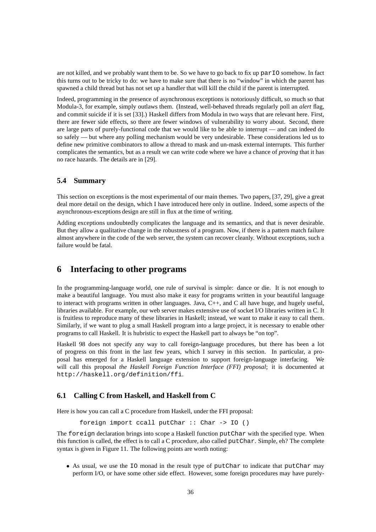are not killed, and we probably want them to be. So we have to go back to fix up parIO somehow. In fact this turns out to be tricky to do: we have to make sure that there is no "window" in which the parent has spawned a child thread but has not set up a handler that will kill the child if the parent is interrupted.

Indeed, programming in the presence of asynchronous exceptions is notoriously difficult, so much so that Modula-3, for example, simply outlaws them. (Instead, well-behaved threads regularly poll an *alert* flag, and commit suicide if it is set [33].) Haskell differs from Modula in two ways that are relevant here. First, there are fewer side effects, so there are fewer windows of vulnerability to worry about. Second, there are large parts of purely-functional code that we would like to be able to interrupt — and can indeed do so safely — but where any polling mechanism would be very undesirable. These considerations led us to define new primitive combinators to allow a thread to mask and un-mask external interrupts. This further complicates the semantics, but as a result we can write code where we have a chance of *proving* that it has no race hazards. The details are in [29].

# **5.4 Summary**

This section on exceptions is the most experimental of our main themes. Two papers, [37, 29], give a great deal more detail on the design, which I have introduced here only in outline. Indeed, some aspects of the asynchronous-exceptions design are still in flux at the time of writing.

Adding exceptions undoubtedly complicates the language and its semantics, and that is never desirable. But they allow a qualitative change in the robustness of a program. Now, if there is a pattern match failure almost anywhere in the code of the web server, the system can recover cleanly. Without exceptions, such a failure would be fatal.

# **6 Interfacing to other programs**

In the programming-language world, one rule of survival is simple: dance or die. It is not enough to make a beautiful language. You must also make it easy for programs written in your beautiful language to interact with programs written in other languages. Java, C++, and C all have huge, and hugely useful, libraries available. For example, our web server makes extensive use of socket I/O libraries written in C. It is fruitless to reproduce many of these libraries in Haskell; instead, we want to make it easy to call them. Similarly, if we want to plug a small Haskell program into a large project, it is necessary to enable other programs to call Haskell. It is hubristic to expect the Haskell part to always be "on top".

Haskell 98 does not specify any way to call foreign-language procedures, but there has been a lot of progress on this front in the last few years, which I survey in this section. In particular, a proposal has emerged for a Haskell language extension to support foreign-language interfacing. We will call this proposal *the Haskell Foreign Function Interface (FFI) proposal*; it is documented at http://haskell.org/definition/ffi.

### **6.1 Calling C from Haskell, and Haskell from C**

Here is how you can call a C procedure from Haskell, under the FFI proposal:

```
foreign import ccall putChar :: Char -> IO ()
```
The foreign declaration brings into scope a Haskell function putChar with the specified type. When this function is called, the effect is to call a C procedure, also called putChar. Simple, eh? The complete syntax is given in Figure 11. The following points are worth noting:

• As usual, we use the IO monad in the result type of putChar to indicate that putChar may perform I/O, or have some other side effect. However, some foreign procedures may have purely-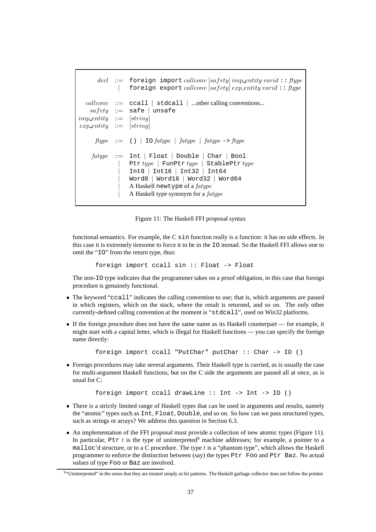```
\text{decl} ::= foreign import callconv [safety] imp_entity varid: ftype
             | foreign export callconv [safety] exp entity varid :: ftype
  \textit{callc} \textit{conv} \ ::= \text{ccall} \ | \text{stdcall} \ | \dots \text{other calling conventions...}safety ::= safe | unsafe
imp\_entity ::= [string]exp\_entity := [string]ftype ::= () | IO fatype | fatype | fatype -> ftype
    fotype ::= Int | Float | Double | Char | Bool
                  Ptr type | FunPtr type | StablePtr type
                  | Int8 | Int16 | Int32 | Int64
                  | Word8 | Word16 | Word32 | Word64
                  A Haskell newtype of a fatupe
                  A Haskell type synonym for a fatype
```
Figure 11: The Haskell FFI proposal syntax

functional semantics. For example, the C sin function really is a function: it has no side effects. In this case it is extremely tiresome to force it to be in the IO monad. So the Haskell FFI allows one to omit the "IO" from the return type, thus:

```
foreign import ccall sin :: Float -> Float
```
The non-IO type indicates that the programmer takes on a proof obligation, in this case that foreign procedure is genuinely functional.

- The keyword "ccall" indicates the calling convention to use; that is, which arguments are passed in which registers, which on the stack, where the result is returned, and so on. The only other currently-defined calling convention at the moment is "stdcall", used on Win32 platforms.
- If the foreign procedure does not have the same name as its Haskell counterpart for example, it might start with a capital letter, which is illegal for Haskell functions — you can specify the foreign name directly:

```
foreign import ccall "PutChar" putChar :: Char -> IO ()
```
• Foreign procedures may take several arguments. Their Haskell type is curried, as is usually the case for multi-argument Haskell functions, but on the C side the arguments are passed all at once, as is usual for C:

```
foreign import ccall drawLine :: Int -> Int -> IO ()
```
- There is a strictly limited range of Haskell types that can be used in arguments and results, namely the "atomic" types such as Int, Float, Double, and so on. So how can we pass structured types, such as strings or arrays? We address this question in Section 6.3.
- An implementation of the FFI proposal must provide a collection of new atomic types (Figure 11). In particular, Ptx t is the type of uninterpreted<sup>9</sup> machine addresses; for example, a pointer to a malloc'd structure, or to a C procedure. The type  $t$  is a "phantom type", which allows the Haskell programmer to enforce the distinction between (say) the types Ptr Foo and Ptr Baz. No actual *values* of type Foo or Baz are involved.

<sup>&</sup>lt;sup>9</sup>"Uninterpreted" in the sense that they are treated simply as bit patterns. The Haskell garbage collector does not follow the pointer.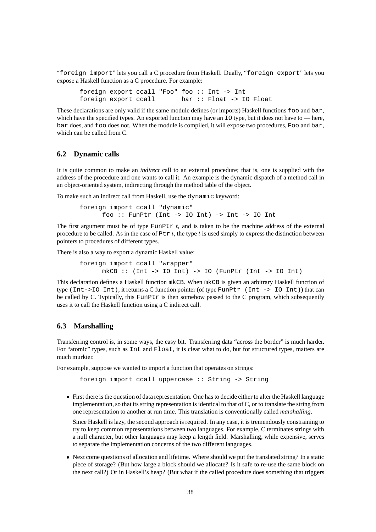"foreign import" lets you call a C procedure from Haskell. Dually, "foreign export" lets you expose a Haskell function as a C procedure. For example:

foreign export ccall "Foo" foo :: Int -> Int foreign export ccall bar :: Float -> IO Float

These declarations are only valid if the same module defines (or imports) Haskell functions foo and bar, which have the specified types. An exported function may have an  $\overline{10}$  type, but it does not have to — here, bar does, and foo does not. When the module is compiled, it will expose two procedures, Foo and bar, which can be called from C.

#### **6.2 Dynamic calls**

It is quite common to make an *indirect* call to an external procedure; that is, one is supplied with the address of the procedure and one wants to call it. An example is the dynamic dispatch of a method call in an object-oriented system, indirecting through the method table of the object.

To make such an indirect call from Haskell, use the dynamic keyword:

foreign import ccall "dynamic" foo :: FunPtr (Int  $\text{-}$  > IO Int)  $\text{-}$  > Int  $\text{-}$  > IO Int

The first argument must be of type FunPtr  $t$ , and is taken to be the machine address of the external procedure to be called. As in the case of  $P \text{tr } t$ , the type t is used simply to express the distinction between pointers to procedures of different types.

There is also a way to export a dynamic Haskell value:

```
foreign import ccall "wrapper"
     mkCB :: (Int -> IO Int) -> IO (FunPtr (Int -> IO Int))
```
This declaration defines a Haskell function mkCB. When mkCB is given an arbitrary Haskell function of type (Int->IO Int), it returns a C function pointer (of type FunPtr (Int -> IO Int)) that can be called by C. Typically, this FunPt $r$  is then somehow passed to the C program, which subsequently uses it to call the Haskell function using a C indirect call.

### **6.3 Marshalling**

Transferring control is, in some ways, the easy bit. Transferring data "across the border" is much harder. For "atomic" types, such as Int and Float, it is clear what to do, but for structured types, matters are much murkier.

For example, suppose we wanted to import a function that operates on strings:

foreign import ccall uppercase :: String -> String

• First there is the question of data representation. One has to decide either to alter the Haskell language implementation, so that its string representation is identical to that of C, or to translate the string from one representation to another at run time. This translation is conventionally called *marshalling*.

Since Haskell is lazy, the second approach is required. In any case, it is tremendously constraining to try to keep common representations between two languages. For example, C terminates strings with a null character, but other languages may keep a length field. Marshalling, while expensive, serves to separate the implementation concerns of the two different languages.

• Next come questions of allocation and lifetime. Where should we put the translated string? In a static piece of storage? (But how large a block should we allocate? Is it safe to re-use the same block on the next call?) Or in Haskell's heap? (But what if the called procedure does something that triggers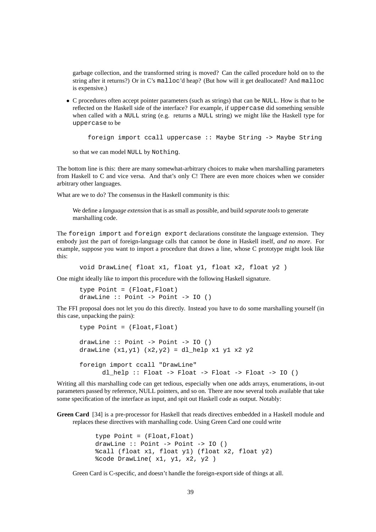garbage collection, and the transformed string is moved? Can the called procedure hold on to the string after it returns?) Or in C's malloc'd heap? (But how will it get deallocated? And malloc is expensive.)

• C procedures often accept pointer parameters (such as strings) that can be NULL. How is that to be reflected on the Haskell side of the interface? For example, if uppercase did something sensible when called with a NULL string (e.g. returns a NULL string) we might like the Haskell type for uppercase to be

```
foreign import ccall uppercase :: Maybe String -> Maybe String
```

```
so that we can model NULL by Nothing.
```
The bottom line is this: there are many somewhat-arbitrary choices to make when marshalling parameters from Haskell to C and vice versa. And that's only C! There are even more choices when we consider arbitrary other languages.

What are we to do? The consensus in the Haskell community is this:

We define a *language extension* that is as small as possible, and build *separate tools* to generate marshalling code.

The foreign import and foreign export declarations constitute the language extension. They embody just the part of foreign-language calls that cannot be done in Haskell itself, *and no more*. For example, suppose you want to import a procedure that draws a line, whose C prototype might look like this:

void DrawLine( float x1, float y1, float x2, float y2 )

One might ideally like to import this procedure with the following Haskell signature.

```
type Point = (Float,Float)
drawLine :: Point -> Point -> IO ()
```
The FFI proposal does not let you do this directly. Instead you have to do some marshalling yourself (in this case, unpacking the pairs):

```
type Point = (Float,Float)
drawLine :: Point -> Point -> IO ()
drawLine (x1,y1) (x2,y2) = d1 help x1 y1 x2 y2
foreign import ccall "DrawLine"
      dl help :: Float -> Float -> Float -> Float -> IO ()
```
Writing all this marshalling code can get tedious, especially when one adds arrays, enumerations, in-out parameters passed by reference, NULL pointers, and so on. There are now several tools available that take some specification of the interface as input, and spit out Haskell code as output. Notably:

**Green Card** [34] is a pre-processor for Haskell that reads directives embedded in a Haskell module and replaces these directives with marshalling code. Using Green Card one could write

> type Point = (Float,Float) drawLine :: Point -> Point -> IO () %call (float x1, float y1) (float x2, float y2) %code DrawLine( x1, y1, x2, y2 )

Green Card is C-specific, and doesn't handle the foreign-export side of things at all.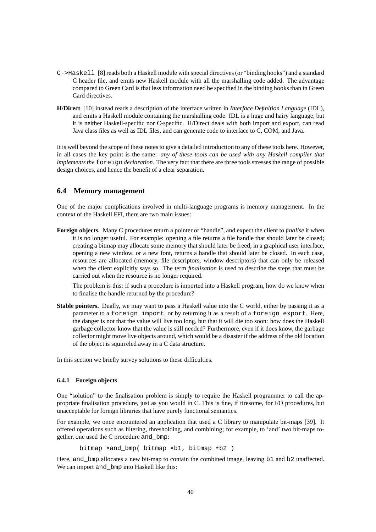- C->Haskell [8] reads both a Haskell module with special directives (or "binding hooks") and a standard C header file, and emits new Haskell module with all the marshalling code added. The advantage compared to Green Card is that less information need be specified in the binding hooks than in Green Card directives.
- **H/Direct** [10] instead reads a description of the interface written in *Interface Definition Language* (IDL), and emits a Haskell module containing the marshalling code. IDL is a huge and hairy language, but it is neither Haskell-specific nor C-specific. H/Direct deals with both import and export, can read Java class files as well as IDL files, and can generate code to interface to C, COM, and Java.

It is well beyond the scope of these notes to give a detailed introduction to any of these tools here. However, in all cases the key point is the same: *any of these tools can be used with any Haskell compiler that implements the* foreign *declaration*. The very fact that there are three tools stresses the range of possible design choices, and hence the benefit of a clear separation.

### **6.4 Memory management**

One of the major complications involved in multi-language programs is memory management. In the context of the Haskell FFI, there are two main issues:

**Foreign objects.** Many C procedures return a pointer or "handle", and expect the client to *finalise* it when it is no longer useful. For example: opening a file returns a file handle that should later be closed; creating a bitmap may allocate some memory that should later be freed; in a graphical user interface, opening a new window, or a new font, returns a handle that should later be closed. In each case, resources are allocated (memory, file descriptors, window descriptors) that can only be released when the client explicitly says so. The term *finalisation* is used to describe the steps that must be carried out when the resource is no longer required.

The problem is this: if such a procedure is imported into a Haskell program, how do we know when to finalise the handle returned by the procedure?

**Stable pointers.** Dually, we may want to pass a Haskell value into the C world, either by passing it as a parameter to a foreign import, or by returning it as a result of a foreign export. Here, the danger is not that the value will live too long, but that it will die too soon: how does the Haskell garbage collector know that the value is still needed? Furthermore, even if it does know, the garbage collector might move live objects around, which would be a disaster if the address of the old location of the object is squirreled away in a C data structure.

In this section we briefly survey solutions to these difficulties.

### **6.4.1 Foreign objects**

One "solution" to the finalisation problem is simply to require the Haskell programmer to call the appropriate finalisation procedure, just as you would in C. This is fine, if tiresome, for I/O procedures, but unacceptable for foreign libraries that have purely functional semantics.

For example, we once encountered an application that used a C library to manipulate bit-maps [39]. It offered operations such as filtering, thresholding, and combining; for example, to 'and' two bit-maps together, one used the C procedure and\_bmp:

bitmap  $*$  and bmp( bitmap  $*$ b1, bitmap  $*$ b2 )

Here, and\_bmp allocates a new bit-map to contain the combined image, leaving b1 and b2 unaffected. We can import and bmp into Haskell like this: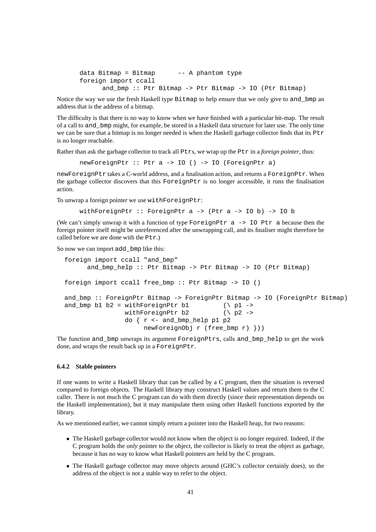```
data Bitmap = Bitmap - -- A phantom type
foreign import ccall
     and bmp :: Ptr Bitmap -> Ptr Bitmap -> IO (Ptr Bitmap)
```
Notice the way we use the fresh Haskell type Bitmap to help ensure that we only give to and\_bmp an address that is the address of a bitmap.

The difficulty is that there is no way to know when we have finished with a particular bit-map. The result of a call to and\_bmp might, for example, be stored in a Haskell data structure for later use. The only time we can be sure that a bitmap is no longer needed is when the Haskell garbage collector finds that its Ptr is no longer reachable.

Rather than ask the garbage collector to track all Ptrs, we wrap up the Ptr in a *foreign pointer*, thus:

newForeignPtr :: Ptr a -> IO () -> IO (ForeignPtr a)

newForeignPtr takes a C-world address, and a finalisation action, and returns a ForeignPtr. When the garbage collector discovers that this ForeignPtr is no longer accessible, it runs the finalisation action.

To unwrap a foreign pointer we use withForeignPtr:

```
withForeignPtr :: ForeignPtr a -> (Ptr a -> IO b) -> IO b
```
(We can't simply unwrap it with a function of type ForeignPtr  $a \rightarrow 10$  Ptr a because then the foreign pointer itself might be unreferenced after the unwrapping call, and its finaliser might therefore be called before we are done with the Ptr.)

So now we can import add bmp like this:

```
foreign import ccall "and_bmp"
      and bmp help :: Ptr Bitmap -> Ptr Bitmap -> IO (Ptr Bitmap)foreign import ccall free_bmp :: Ptr Bitmap -> IO ()
and_bmp :: ForeignPtr Bitmap -> ForeignPtr Bitmap -> IO (ForeignPtr Bitmap)
and_bmp b1 b2 = withForeignPtr b1 (\n\backslash p1 -withForeignPtr b2 (\n\vee p2 -\n)do { r <- and_bmp_help p1 p2
                     newForeignObj r (free_bmp r) }))
```
The function and\_bmp unwraps its argument ForeignPtrs, calls and\_bmp\_help to get the work done, and wraps the result back up in a ForeignPtr.

#### **6.4.2 Stable pointers**

If one wants to write a Haskell library that can be called by a C program, then the situation is reversed compared to foreign objects. The Haskell library may construct Haskell values and return them to the C caller. There is not much the C program can do with them directly (since their representation depends on the Haskell implementation), but it may manipulate them using other Haskell functions exported by the library.

As we mentioned earlier, we cannot simply return a pointer into the Haskell heap, for two reasons:

- The Haskell garbage collector would not know when the object is no longer required. Indeed, if the C program holds the *only* pointer to the object, the collector is likely to treat the object as garbage, because it has no way to know what Haskell pointers are held by the C program.
- The Haskell garbage collector may move objects around (GHC's collector certainly does), so the address of the object is not a stable way to refer to the object.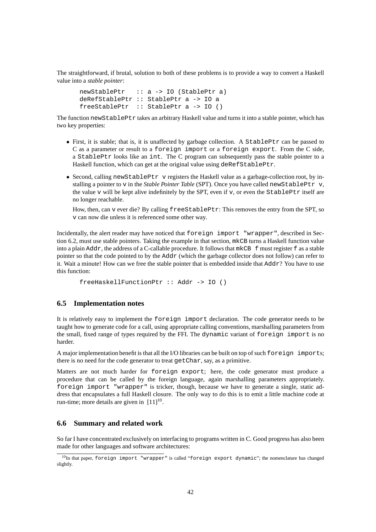The straightforward, if brutal, solution to both of these problems is to provide a way to convert a Haskell value into a *stable pointer*:

```
newStablePtr :: a -> IO (StablePtr a)
deRefStablePtr :: StablePtr a -> IO a
freeStablePtr :: StablePtr a -> IO ()
```
The function newStablePtr takes an arbitrary Haskell value and turns it into a stable pointer, which has two key properties:

- First, it is stable; that is, it is unaffected by garbage collection. A StablePtr can be passed to C as a parameter or result to a foreign import or a foreign export. From the C side, a StablePtr looks like an int. The C program can subsequently pass the stable pointer to a Haskell function, which can get at the original value using deRefStablePtr.
- Second, calling new StablePtr v registers the Haskell value as a garbage-collection root, by installing a pointer to v in the *Stable Pointer Table* (SPT). Once you have called newStablePtr v, the value  $\nu$  will be kept alive indefinitely by the SPT, even if  $\nu$ , or even the StablePtr itself are no longer reachable.

How, then, can v ever die? By calling freeStablePtr: This removes the entry from the SPT, so v can now die unless it is referenced some other way.

Incidentally, the alert reader may have noticed that foreign import "wrapper", described in Section 6.2, must use stable pointers. Taking the example in that section, mkCB turns a Haskell function value into a plain Addr, the address of a C-callable procedure. It follows that mkCB f must register f as a stable pointer so that the code pointed to by the Addr (which the garbage collector does not follow) can refer to it. Wait a minute! How can we free the stable pointer that is embedded inside that Addr? You have to use this function:

```
freeHaskellFunctionPtr :: Addr -> IO ()
```
# **6.5 Implementation notes**

It is relatively easy to implement the foreign import declaration. The code generator needs to be taught how to generate code for a call, using appropriate calling conventions, marshalling parameters from the small, fixed range of types required by the FFI. The dynamic variant of foreign import is no harder.

A major implementation benefit is that all the I/O libraries can be built on top of such foreign imports; there is no need for the code generator to treat getChar, say, as a primitive.

Matters are not much harder for foreign export; here, the code generator must produce a procedure that can be called by the foreign language, again marshalling parameters appropriately. foreign import "wrapper" is tricker, though, because we have to generate a single, static address that encapsulates a full Haskell closure. The only way to do this is to emit a little machine code at run-time; more details are given in  $[11]^{10}$ .

### **6.6 Summary and related work**

So far I have concentrated exclusively on interfacing to programs written in C. Good progress has also been made for other languages and software architectures:

 $^{10}$ In that paper, foreign import "wrapper" is called "foreign export dynamic"; the nomenclature has changed slightly.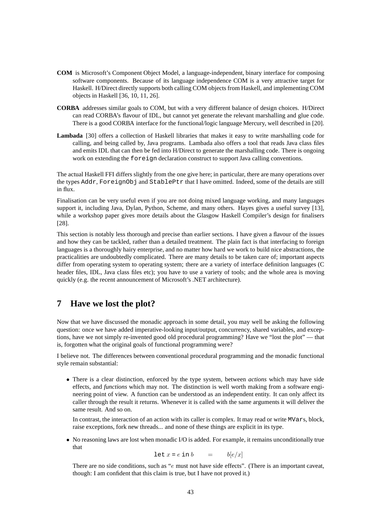- **COM** is Microsoft's Component Object Model, a language-independent, binary interface for composing software components. Because of its language independence COM is a very attractive target for Haskell. H/Direct directly supports both calling COM objects from Haskell, and implementing COM objects in Haskell [36, 10, 11, 26].
- **CORBA** addresses similar goals to COM, but with a very different balance of design choices. H/Direct can read CORBA's flavour of IDL, but cannot yet generate the relevant marshalling and glue code. There is a good CORBA interface for the functional/logic language Mercury, well described in [20].
- **Lambada** [30] offers a collection of Haskell libraries that makes it easy to write marshalling code for calling, and being called by, Java programs. Lambada also offers a tool that reads Java class files and emits IDL that can then be fed into H/Direct to generate the marshalling code. There is ongoing work on extending the foreign declaration construct to support Java calling conventions.

The actual Haskell FFI differs slightly from the one give here; in particular, there are many operations over the types Addr, ForeignObj and StablePtr that I have omitted. Indeed, some of the details are still in flux.

Finalisation can be very useful even if you are not doing mixed language working, and many languages support it, including Java, Dylan, Python, Scheme, and many others. Hayes gives a useful survey [13], while a workshop paper gives more details about the Glasgow Haskell Compiler's design for finalisers [28].

This section is notably less thorough and precise than earlier sections. I have given a flavour of the issues and how they can be tackled, rather than a detailed treatment. The plain fact is that interfacing to foreign languages is a thoroughly hairy enterprise, and no matter how hard we work to build nice abstractions, the practicalities are undoubtedly complicated. There are many details to be taken care of; important aspects differ from operating system to operating system; there are a variety of interface definition languages (C header files, IDL, Java class files etc); you have to use a variety of tools; and the whole area is moving quickly (e.g. the recent announcement of Microsoft's .NET architecture).

# **7 Have we lost the plot?**

Now that we have discussed the monadic approach in some detail, you may well be asking the following question: once we have added imperative-looking input/output, concurrency, shared variables, and exceptions, have we not simply re-invented good old procedural programming? Have we "lost the plot" — that is, forgotten what the original goals of functional programming were?

I believe not. The differences between conventional procedural programming and the monadic functional style remain substantial:

• There is a clear distinction, enforced by the type system, between *actions* which may have side effects, and *functions* which may not. The distinction is well worth making from a software engineering point of view. A function can be understood as an independent entity. It can only affect its caller through the result it returns. Whenever it is called with the same arguments it will deliver the same result. And so on.

In contrast, the interaction of an action with its caller is complex. It may read or write MVars, block, raise exceptions, fork new threads... and none of these things are explicit in its type.

• No reasoning laws are lost when monadic I/O is added. For example, it remains unconditionally true that

$$
\text{let } x = e \text{ in } b \qquad = \qquad b[e/x]
$$

There are no side conditions, such as "e must not have side effects". (There is an important caveat, though: I am confident that this claim is true, but I have not proved it.)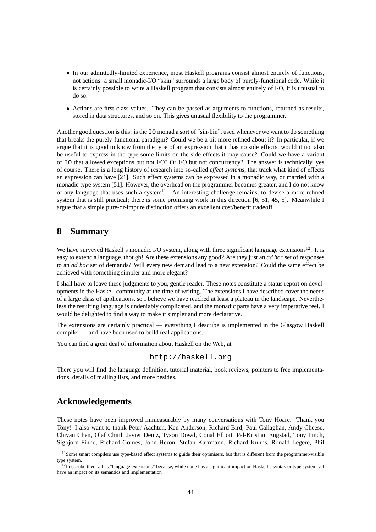- In our admittedly-limited experience, most Haskell programs consist almost entirely of functions, not actions: a small monadic-I/O "skin" surrounds a large body of purely-functional code. While it is certainly possible to write a Haskell program that consists almost entirely of I/O, it is unusual to do so.
- Actions are first class values. They can be passed as arguments to functions, returned as results, stored in data structures, and so on. This gives unusual flexibility to the programmer.

Another good question is this: is the IO monad a sort of "sin-bin", used whenever we want to do something that breaks the purely-functional paradigm? Could we be a bit more refined about it? In particular, if we argue that it is good to know from the type of an expression that it has no side effects, would it not also be useful to express in the type some limits on the side effects it may cause? Could we have a variant of IO that allowed exceptions but not I/O? Or I/O but not concurrency? The answer is technically, yes of course. There is a long history of research into so-called *effect systems*, that track what kind of effects an expression can have [21]. Such effect systems can be expressed in a monadic way, or married with a monadic type system [51]. However, the overhead on the programmer becomes greater, and I do not know of any language that uses such a system<sup>11</sup>. An interesting challenge remains, to devise a more refined system that is still practical; there is some promising work in this direction [6, 51, 45, 5]. Meanwhile I argue that a simple pure-or-impure distinction offers an excellent cost/benefit tradeoff.

# **8 Summary**

We have surveyed Haskell's monadic I/O system, along with three significant language extensions<sup>12</sup>. It is easy to extend a language, though! Are these extensions any good? Are they just an *ad hoc* set of responses to an *ad hoc* set of demands? Will every new demand lead to a new extension? Could the same effect be achieved with something simpler and more elegant?

I shall have to leave these judgments to you, gentle reader. These notes constitute a status report on developments in the Haskell community at the time of writing. The extensions I have described cover the needs of a large class of applications, so I believe we have reached at least a plateau in the landscape. Nevertheless the resulting language is undeniably complicated, and the monadic parts have a very imperative feel. I would be delighted to find a way to make it simpler and more declarative.

The extensions are certainly practical — everything I describe is implemented in the Glasgow Haskell compiler — and have been used to build real applications.

You can find a great deal of information about Haskell on the Web, at

http://haskell.org

There you will find the language definition, tutorial material, book reviews, pointers to free implementations, details of mailing lists, and more besides.

# **Acknowledgements**

These notes have been improved immeasurably by many conversations with Tony Hoare. Thank you Tony! I also want to thank Peter Aachten, Ken Anderson, Richard Bird, Paul Callaghan, Andy Cheese, Chiyan Chen, Olaf Chitil, Javier Deniz, Tyson Dowd, Conal Elliott, Pal-Kristian Engstad, Tony Finch, Sigbjorn Finne, Richard Gomes, John Heron, Stefan Karrmann, Richard Kuhns, Ronald Legere, Phil

<sup>&</sup>lt;sup>11</sup>Some smart compilers use type-based effect systems to guide their optimisers, but that is different from the programmer-visible type system.

 $^{12}I$  describe them all as "language extensions" because, while none has a significant impact on Haskell's syntax or type system, all have an impact on its semantics and implementation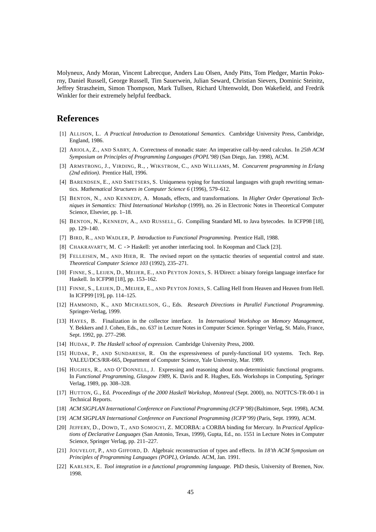Molyneux, Andy Moran, Vincent Labrecque, Anders Lau Olsen, Andy Pitts, Tom Pledger, Martin Pokorny, Daniel Russell, George Russell, Tim Sauerwein, Julian Seward, Christian Sievers, Dominic Steinitz, Jeffrey Straszheim, Simon Thompson, Mark Tullsen, Richard Uhtenwoldt, Don Wakefield, and Fredrik Winkler for their extremely helpful feedback.

# **References**

- [1] ALLISON, L. *A Practical Introduction to Denotational Semantics*. Cambridge University Press, Cambridge, England, 1986.
- [2] ARIOLA, Z., AND SABRY, A. Correctness of monadic state: An imperative call-by-need calculus. In *25th ACM Symposium on Principles of Programming Languages (POPL'98)* (San Diego, Jan. 1998), ACM.
- [3] ARMSTRONG, J., VIRDING, R., , WIKSTROM, C., AND WILLIAMS, M. *Concurrent programming in Erlang (2nd edition)*. Prentice Hall, 1996.
- [4] BARENDSEN, E., AND SMETSERS, S. Uniqueness typing for functional languages with graph rewriting semantics. *Mathematical Structures in Computer Science 6* (1996), 579–612.
- [5] BENTON, N., AND KENNEDY, A. Monads, effects, and transformations. In *Higher Order Operational Techniques in Semantics: Third International Workshop* (1999), no. 26 in Electronic Notes in Theoretical Computer Science, Elsevier, pp. 1–18.
- [6] BENTON, N., KENNEDY, A., AND RUSSELL, G. Compiling Standard ML to Java bytecodes. In ICFP98 [18], pp. 129–140.
- [7] BIRD, R., AND WADLER, P. *Introduction to Functional Programming*. Prentice Hall, 1988.
- [8] CHAKRAVARTY, M. C -> Haskell: yet another interfacing tool. In Koopman and Clack [23].
- [9] FELLEISEN, M., AND HIEB, R. The revised report on the syntactic theories of sequential control and state. *Theoretical Computer Science 103* (1992), 235–271.
- [10] FINNE, S., LEIJEN, D., MEIJER, E., AND PEYTON JONES, S. H/Direct: a binary foreign language interface for Haskell. In ICFP98 [18], pp. 153–162.
- [11] FINNE, S., LEIJEN, D., MEIJER, E., AND PEYTON JONES, S. Calling Hell from Heaven and Heaven from Hell. In ICFP99 [19], pp. 114–125.
- [12] HAMMOND, K., AND MICHAELSON, G., Eds. *Research Directions in Parallel Functional Programming*. Springer-Verlag, 1999.
- [13] HAYES, B. Finalization in the collector interface. In *International Workshop on Memory Management*, Y. Bekkers and J. Cohen, Eds., no. 637 in Lecture Notes in Computer Science. Springer Verlag, St. Malo, France, Sept. 1992, pp. 277–298.
- [14] HUDAK, P. *The Haskell school of expression*. Cambridge University Press, 2000.
- [15] HUDAK, P., AND SUNDARESH, R. On the expressiveness of purely-functional I/O systems. Tech. Rep. YALEU/DCS/RR-665, Department of Computer Science, Yale University, Mar. 1989.
- [16] HUGHES, R., AND O'DONNELL, J. Expressing and reasoning about non-deterministic functional programs. In *Functional Programming, Glasgow 1989*, K. Davis and R. Hughes, Eds. Workshops in Computing, Springer Verlag, 1989, pp. 308–328.
- [17] HUTTON, G., Ed. *Proceedings of the 2000 Haskell Workshop, Montreal* (Sept. 2000), no. NOTTCS-TR-00-1 in Technical Reports.
- [18] *ACM SIGPLAN International Conference on Functional Programming (ICFP'98)* (Baltimore, Sept. 1998), ACM.
- [19] *ACM SIGPLAN International Conference on Functional Programming (ICFP'99)* (Paris, Sept. 1999), ACM.
- [20] JEFFERY, D., DOWD, T., AND SOMOGYI, Z. MCORBA: a CORBA binding for Mercury. In *Practical Applications of Declarative Languages* (San Antonio, Texas, 1999), Gupta, Ed., no. 1551 in Lecture Notes in Computer Science, Springer Verlag, pp. 211–227.
- [21] JOUVELOT, P., AND GIFFORD, D. Algebraic reconstruction of types and effects. In *18'th ACM Symposium on Principles of Programming Languages (POPL), Orlando*. ACM, Jan. 1991.
- [22] KARLSEN, E. *Tool integration in a functional programming language*. PhD thesis, University of Bremen, Nov. 1998.